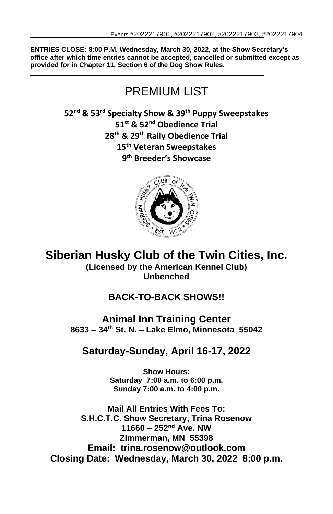**ENTRIES CLOSE: 8:00 P.M. Wednesday, March 30, 2022, at the Show Secretary's office after which time entries cannot be accepted, cancelled or submitted except as provided for in Chapter 11, Section 6 of the Dog Show Rules.**

# PREMIUM LIST

 **nd & 53 rd Specialty Show & 39 th Puppy Sweepstakes st & 52 nd Obedience Trial th & 29 th Rally Obedience Trial th Veteran Sweepstakes th Breeder's Showcase**



**Siberian Husky Club of the Twin Cities, Inc.**

**(Licensed by the American Kennel Club) Unbenched**

# **BACK-TO-BACK SHOWS!!**

**Animal Inn Training Center 8633 – 34th St. N. – Lake Elmo, Minnesota 55042**

# **Saturday-Sunday, April 16-17, 2022**

**Show Hours: Saturday 7:00 a.m. to 6:00 p.m. Sunday 7:00 a.m. to 4:00 p.m.**

**Mail All Entries With Fees To: S.H.C.T.C. Show Secretary, Trina Rosenow 11660 – 252nd Ave. NW Zimmerman, MN 55398 Email: [trina.rosenow@outlook.com](mailto:trina.rosenow@outlook.com) Closing Date: Wednesday, March 30, 2022 8:00 p.m.**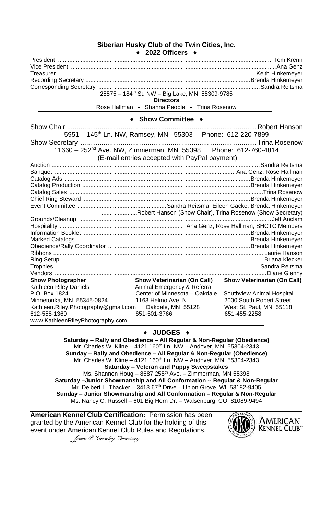| $\div$ 2022 Officers $\div$                                |                                                                                |                             |  |
|------------------------------------------------------------|--------------------------------------------------------------------------------|-----------------------------|--|
|                                                            |                                                                                |                             |  |
|                                                            |                                                                                |                             |  |
|                                                            |                                                                                |                             |  |
|                                                            |                                                                                |                             |  |
|                                                            |                                                                                |                             |  |
|                                                            | 25575 - 184 <sup>th</sup> St. NW - Big Lake, MN 55309-9785<br><b>Directors</b> |                             |  |
|                                                            | Rose Hallman - Shanna Peoble - Trina Rosenow                                   |                             |  |
|                                                            | $\triangleleft$ Show Committee $\triangleleft$                                 |                             |  |
| Show Chair                                                 |                                                                                | Robert Hanson               |  |
|                                                            | 5951 - 145 <sup>th</sup> Ln. NW, Ramsey, MN 55303 Phone: 612-220-7899          |                             |  |
|                                                            |                                                                                |                             |  |
|                                                            | 11660 - 252 <sup>nd</sup> Ave. NW, Zimmerman, MN 55398 Phone: 612-760-4814     |                             |  |
|                                                            | (E-mail entries accepted with PayPal payment)                                  |                             |  |
|                                                            |                                                                                |                             |  |
|                                                            |                                                                                |                             |  |
|                                                            |                                                                                |                             |  |
|                                                            |                                                                                |                             |  |
|                                                            |                                                                                |                             |  |
|                                                            |                                                                                |                             |  |
|                                                            |                                                                                |                             |  |
| Robert Hanson (Show Chair), Trina Rosenow (Show Secretary) |                                                                                |                             |  |
|                                                            |                                                                                |                             |  |
|                                                            |                                                                                |                             |  |
|                                                            |                                                                                |                             |  |
|                                                            |                                                                                |                             |  |
|                                                            |                                                                                |                             |  |
|                                                            |                                                                                |                             |  |
|                                                            |                                                                                |                             |  |
|                                                            |                                                                                |                             |  |
| <b>Show Photographer</b>                                   | Show Veterinarian (On Call)                                                    | Show Veterinarian (On Call) |  |
| Kathleen Riley Daniels                                     | Animal Emergency & Referral                                                    |                             |  |
| P.O. Box 1824                                              | Center of Minnesota - Oakdale                                                  | Southview Animal Hospital   |  |
| Minnetonka, MN 55345-0824                                  | 1163 Helmo Ave. N.                                                             | 2000 South Robert Street    |  |
| Kathleen.Riley.Photography@gmail.com                       | Oakdale, MN 55128                                                              | West St. Paul. MN 55118     |  |
| 612-558-1369                                               | 651-501-3766                                                                   | 651-455-2258                |  |
| www.KathleenRileyPhotography.com                           |                                                                                |                             |  |

**Siberian Husky Club of the Twin Cities, Inc.**

### **♦ JUDGES ♦**

**Saturday – Rally and Obedience – All Regular & Non-Regular (Obedience)** Mr. Charles W. Kline – 4121 160<sup>th</sup> Ln. NW – Andover, MN 55304-2343 **Sunday – Rally and Obedience – All Regular & Non-Regular (Obedience)** Mr. Charles W. Kline - 4121 160<sup>th</sup> Ln. NW - Andover, MN 55304-2343 **Saturday – Veteran and Puppy Sweepstakes** Ms. Shannon Houg - 8687 255<sup>th</sup> Ave. - Zimmerman, MN 55398 **Saturday –Junior Showmanship and All Conformation -- Regular & Non-Regular** Mr. Delbert L. Thacker - 3413 67<sup>th</sup> Drive - Union Grove, WI 53182-9405 **Sunday – Junior Showmanship and All Conformation – Regular & Non-Regular** Ms. Nancy C. Russell – 601 Big Horn Dr. – Walsenburg, CO 81089-9494

**American Kennel Club Certification:** Permission has been granted by the American Kennel Club for the holding of this event under American Kennel Club Rules and Regulations. James P. Crowley, Secretary

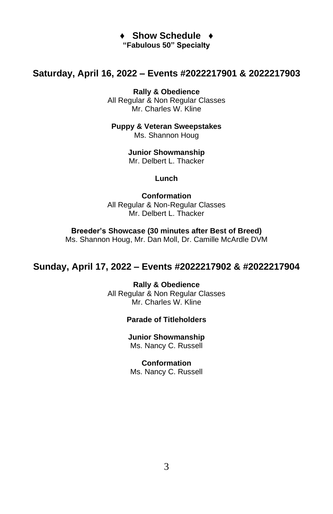**♦ Show Schedule ♦ "Fabulous 50" Specialty**

# **Saturday, April 16, 2022 – Events #2022217901 & 2022217903**

**Rally & Obedience** All Regular & Non Regular Classes

Mr. Charles W. Kline

**Puppy & Veteran Sweepstakes** Ms. Shannon Houg

> **Junior Showmanship** Mr. Delbert L. Thacker

### **Lunch**

**Conformation** All Regular & Non-Regular Classes Mr. Delbert L. Thacker

**Breeder's Showcase (30 minutes after Best of Breed)** Ms. Shannon Houg, Mr. Dan Moll, Dr. Camille McArdle DVM

# **Sunday, April 17, 2022 – Events #2022217902 & #2022217904**

**Rally & Obedience** All Regular & Non Regular Classes Mr. Charles W. Kline

### **Parade of Titleholders**

**Junior Showmanship** Ms. Nancy C. Russell

**Conformation** Ms. Nancy C. Russell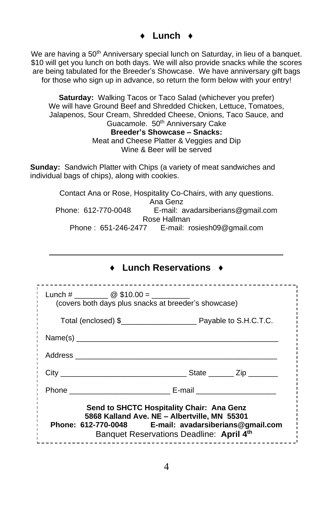# **♦ Lunch ♦**

We are having a 50<sup>th</sup> Anniversary special lunch on Saturday, in lieu of a banquet. \$10 will get you lunch on both days. We will also provide snacks while the scores are being tabulated for the Breeder's Showcase. We have anniversary gift bags for those who sign up in advance, so return the form below with your entry!

**Saturday:** Walking Tacos or Taco Salad (whichever you prefer) We will have Ground Beef and Shredded Chicken, Lettuce, Tomatoes, Jalapenos, Sour Cream, Shredded Cheese, Onions, Taco Sauce, and Guacamole. 50<sup>th</sup> Anniversary Cake **Breeder's Showcase – Snacks:** Meat and Cheese Platter & Veggies and Dip Wine & Beer will be served

**Sunday:** Sandwich Platter with Chips (a variety of meat sandwiches and individual bags of chips), along with cookies.

> Contact Ana or Rose, Hospitality Co-Chairs, with any questions. Ana Genz Phone: 612-770-0048 E-mail: [avadarsiberians@gmail.com](mailto:avadarsiberians@gmail.com) Rose Hallman Phone : 651-246-2477 E-mail: [rosiesh09@gmail.com](mailto:rosiesh09@gmail.com)

# ♦ **Lunch Reservations ♦**

| Lunch # $@$10.00 =$<br>(covers both days plus snacks at breeder's showcase) |                                                                                                                                                                                                |
|-----------------------------------------------------------------------------|------------------------------------------------------------------------------------------------------------------------------------------------------------------------------------------------|
|                                                                             |                                                                                                                                                                                                |
|                                                                             |                                                                                                                                                                                                |
| Address                                                                     |                                                                                                                                                                                                |
|                                                                             |                                                                                                                                                                                                |
|                                                                             | Phone <b>E</b> -mail                                                                                                                                                                           |
|                                                                             | Send to SHCTC Hospitality Chair: Ana Genz<br>5868 Kalland Ave. NE - Albertville, MN 55301<br>Phone: 612-770-0048 E-mail: avadarsiberians@gmail.com<br>Banquet Reservations Deadline: April 4th |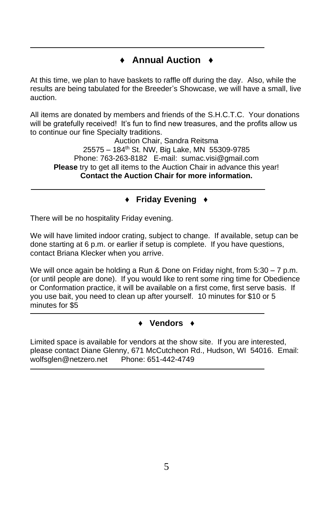# **♦ Annual Auction ♦**

At this time, we plan to have baskets to raffle off during the day. Also, while the results are being tabulated for the Breeder's Showcase, we will have a small, live auction.

All items are donated by members and friends of the S.H.C.T.C. Your donations will be gratefully received! It's fun to find new treasures, and the profits allow us to continue our fine Specialty traditions.

Auction Chair, Sandra Reitsma 25575 – 184th St. NW, Big Lake, MN 55309-9785 Phone: 763-263-8182 E-mail: [sumac.visi@gmail.com](mailto:sumac.visi@gmail.com) **Please** try to get all items to the Auction Chair in advance this year! **Contact the Auction Chair for more information.**

# **♦ Friday Evening ♦**

There will be no hospitality Friday evening.

We will have limited indoor crating, subject to change. If available, setup can be done starting at 6 p.m. or earlier if setup is complete. If you have questions, contact Briana Klecker when you arrive.

We will once again be holding a Run & Done on Friday night, from 5:30 – 7 p.m. (or until people are done). If you would like to rent some ring time for Obedience or Conformation practice, it will be available on a first come, first serve basis. If you use bait, you need to clean up after yourself. 10 minutes for \$10 or 5 minutes for \$5

# **♦ Vendors ♦**

Limited space is available for vendors at the show site. If you are interested, please contact Diane Glenny, 671 McCutcheon Rd., Hudson, WI 54016. Email: [wolfsglen@netzero.net](mailto:wolfsglen@netzero.net) Phone: 651-442-4749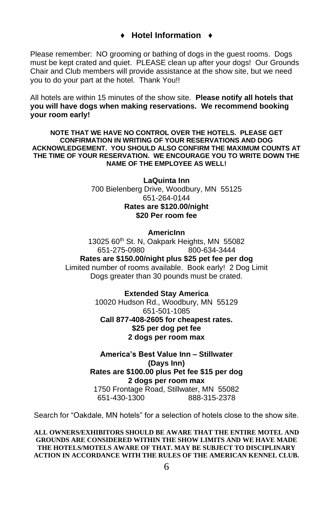# **♦ Hotel Information ♦**

Please remember: NO grooming or bathing of dogs in the guest rooms. Dogs must be kept crated and quiet. PLEASE clean up after your dogs! Our Grounds Chair and Club members will provide assistance at the show site, but we need you to do your part at the hotel. Thank You!!

All hotels are within 15 minutes of the show site. **Please notify all hotels that you will have dogs when making reservations. We recommend booking your room early!**

### **NOTE THAT WE HAVE NO CONTROL OVER THE HOTELS. PLEASE GET CONFIRMATION IN WRITING OF YOUR RESERVATIONS AND DOG ACKNOWLEDGEMENT. YOU SHOULD ALSO CONFIRM THE MAXIMUM COUNTS AT THE TIME OF YOUR RESERVATION. WE ENCOURAGE YOU TO WRITE DOWN THE NAME OF THE EMPLOYEE AS WELL!**

**LaQuinta Inn** 700 Bielenberg Drive, Woodbury, MN 55125 651-264-0144 **Rates are \$120.00/night \$20 Per room fee**

**AmericInn** 13025 60<sup>th</sup> St. N, Oakpark Heights, MN 55082 651-275-0980 800-634-3444

**Rates are \$150.00/night plus \$25 pet fee per dog** Limited number of rooms available. Book early! 2 Dog Limit Dogs greater than 30 pounds must be crated.

> **Extended Stay America** 10020 Hudson Rd., Woodbury, MN 55129 651-501-1085 **Call 877-408-2605 for cheapest rates. \$25 per dog pet fee 2 dogs per room max**

**America's Best Value Inn – Stillwater (Days Inn) Rates are \$100.00 plus Pet fee \$15 per dog 2 dogs per room max** 1750 Frontage Road, Stillwater, MN 55082 651-430-1300 888-315-2378

Search for "Oakdale, MN hotels" for a selection of hotels close to the show site.

**ALL OWNERS/EXHIBITORS SHOULD BE AWARE THAT THE ENTIRE MOTEL AND GROUNDS ARE CONSIDERED WITHIN THE SHOW LIMITS AND WE HAVE MADE THE HOTELS/MOTELS AWARE OF THAT. MAY BE SUBJECT TO DISCIPLINARY ACTION IN ACCORDANCE WITH THE RULES OF THE AMERICAN KENNEL CLUB.**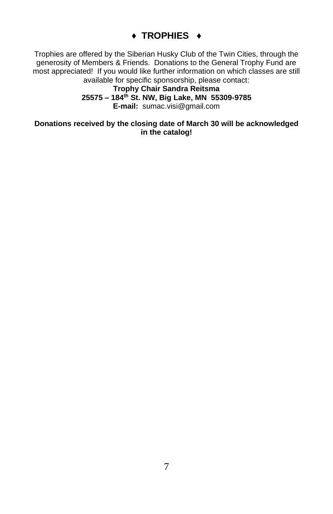# ♦ **TROPHIES ♦**

Trophies are offered by the Siberian Husky Club of the Twin Cities, through the generosity of Members & Friends. Donations to the General Trophy Fund are most appreciated! If you would like further information on which classes are still available for specific sponsorship, please contact:

**Trophy Chair Sandra Reitsma 25575 – 184th St. NW, Big Lake, MN 55309-9785 E-mail:** [sumac.visi@gmail.com](mailto:sumac.visi@gmail.com)

**Donations received by the closing date of March 30 will be acknowledged in the catalog!**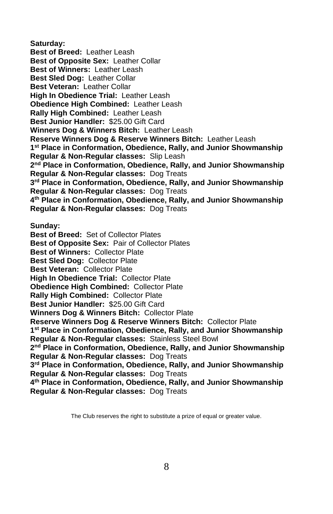**Saturday: Best of Breed:** Leather Leash **Best of Opposite Sex:** Leather Collar **Best of Winners:** Leather Leash **Best Sled Dog:** Leather Collar **Best Veteran:** Leather Collar **High In Obedience Trial:** Leather Leash **Obedience High Combined:** Leather Leash **Rally High Combined:** Leather Leash **Best Junior Handler:** \$25.00 Gift Card **Winners Dog & Winners Bitch:** Leather Leash **Reserve Winners Dog & Reserve Winners Bitch:** Leather Leash **1 st Place in Conformation, Obedience, Rally, and Junior Showmanship Regular & Non-Regular classes:** Slip Leash **2 nd Place in Conformation, Obedience, Rally, and Junior Showmanship Regular & Non-Regular classes:** Dog Treats **3 rd Place in Conformation, Obedience, Rally, and Junior Showmanship Regular & Non-Regular classes:** Dog Treats **4 th Place in Conformation, Obedience, Rally, and Junior Showmanship Regular & Non-Regular classes:** Dog Treats

**Sunday:**

**Best of Breed:** Set of Collector Plates **Best of Opposite Sex:** Pair of Collector Plates **Best of Winners:** Collector Plate **Best Sled Dog:** Collector Plate **Best Veteran:** Collector Plate **High In Obedience Trial:** Collector Plate **Obedience High Combined:** Collector Plate **Rally High Combined:** Collector Plate **Best Junior Handler:** \$25.00 Gift Card **Winners Dog & Winners Bitch:** Collector Plate **Reserve Winners Dog & Reserve Winners Bitch:** Collector Plate **1 st Place in Conformation, Obedience, Rally, and Junior Showmanship Regular & Non-Regular classes:** Stainless Steel Bowl **2 nd Place in Conformation, Obedience, Rally, and Junior Showmanship Regular & Non-Regular classes:** Dog Treats **3 rd Place in Conformation, Obedience, Rally, and Junior Showmanship Regular & Non-Regular classes:** Dog Treats **4 th Place in Conformation, Obedience, Rally, and Junior Showmanship Regular & Non-Regular classes:** Dog Treats

The Club reserves the right to substitute a prize of equal or greater value.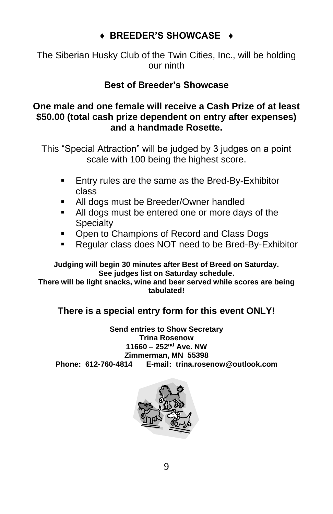# ♦ **BREEDER'S SHOWCASE ♦**

The Siberian Husky Club of the Twin Cities, Inc., will be holding our ninth

# **Best of Breeder's Showcase**

# **One male and one female will receive a Cash Prize of at least \$50.00 (total cash prize dependent on entry after expenses) and a handmade Rosette.**

This "Special Attraction" will be judged by 3 judges on a point scale with 100 being the highest score.

- Entry rules are the same as the Bred-By-Exhibitor class
- All dogs must be Breeder/Owner handled
- All dogs must be entered one or more days of the **Specialty**
- Open to Champions of Record and Class Dogs
- Regular class does NOT need to be Bred-By-Exhibitor

**Judging will begin 30 minutes after Best of Breed on Saturday. See judges list on Saturday schedule.**

**There will be light snacks, wine and beer served while scores are being tabulated!**

# **There is a special entry form for this event ONLY!**

**Send entries to Show Secretary Trina Rosenow 11660 – 252nd Ave. NW Zimmerman, MN 55398 Phone: 612-760-4814 E-mail: [trina.rosenow@outlook.com](mailto:trina.rosenow@outlook.com)**

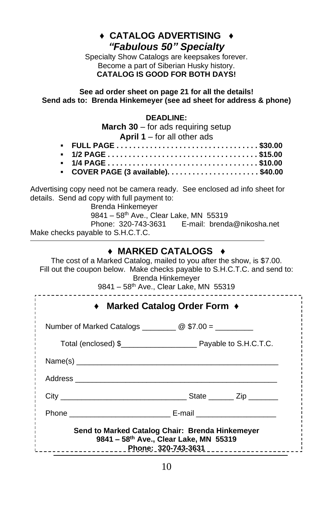# ♦ **CATALOG ADVERTISING ♦** *"Fabulous 50" Specialty*

Specialty Show Catalogs are keepsakes forever. Become a part of Siberian Husky history. **CATALOG IS GOOD FOR BOTH DAYS!**

**See ad order sheet on page 21 for all the details! Send ads to: Brenda Hinkemeyer (see ad sheet for address & phone)**

### **DEADLINE:**

| <b>March 30</b> $-$ for ads requiring setup |
|---------------------------------------------|
| <b>April 1</b> – for all other ads          |

Advertising copy need not be camera ready. See enclosed ad info sheet for details. Send ad copy with full payment to:

Brenda Hinkemeyer

9841 – 58th Ave., Clear Lake, MN 55319 Phone: 320-743-3631 E-mail: [brenda@nikosha.net](mailto:brenda@nikosha.net) Make checks payable to S.H.C.T.C.

# ♦ **MARKED CATALOGS ♦**

The cost of a Marked Catalog, mailed to you after the show, is \$7.00. Fill out the coupon below. Make checks payable to S.H.C.T.C. and send to: Brenda Hinkemeyer

9841 – 58<sup>th</sup> Ave., Clear Lake, MN 55319

| ◆ Marked Catalog Order Form ◆                                                                                            |                     |  |
|--------------------------------------------------------------------------------------------------------------------------|---------------------|--|
| Number of Marked Catalogs $\qquad \qquad \textcircled{g}$ \$7.00 =                                                       |                     |  |
|                                                                                                                          |                     |  |
|                                                                                                                          |                     |  |
|                                                                                                                          |                     |  |
|                                                                                                                          |                     |  |
|                                                                                                                          | Phone <b>E-mail</b> |  |
| Send to Marked Catalog Chair: Brenda Hinkemeyer<br>9841 - 58th Ave., Clear Lake, MN 55319<br>Ph <u>one: 320-743-3631</u> |                     |  |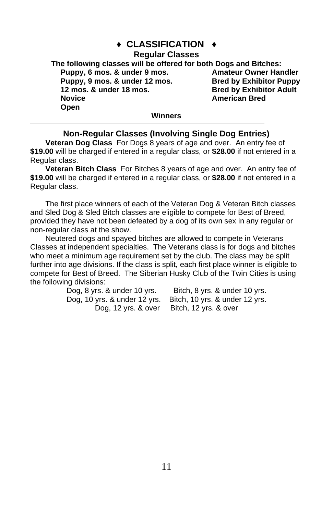# ♦ **CLASSIFICATION ♦ Regular Classes**

**The following classes will be offered for both Dogs and Bitches:**

**Puppy, 6 mos. & under 9 mos. Amateur Owner Handler Puppy, 9 mos. & under 12 mos. Bred by Exhibitor Puppy 12 mos. & under 18 mos. Bred by Exhibitor Adult Novice American Bred Open**

### **Winners**

# **Non-Regular Classes (Involving Single Dog Entries)**

**Veteran Dog Class** For Dogs 8 years of age and over.An entry fee of **\$19.00** will be charged if entered in a regular class, or **\$28.00** if not entered in a Regular class.

**Veteran Bitch Class** For Bitches 8 years of age and over.An entry fee of **\$19.00** will be charged if entered in a regular class, or **\$28.00** if not entered in a Regular class.

The first place winners of each of the Veteran Dog & Veteran Bitch classes and Sled Dog & Sled Bitch classes are eligible to compete for Best of Breed, provided they have not been defeated by a dog of its own sex in any regular or non-regular class at the show.

Neutered dogs and spayed bitches are allowed to compete in Veterans Classes at independent specialties. The Veterans class is for dogs and bitches who meet a minimum age requirement set by the club. The class may be split further into age divisions. If the class is split, each first place winner is eligible to compete for Best of Breed. The Siberian Husky Club of the Twin Cities is using the following divisions:

Dog, 12 yrs. & over Bitch, 12 yrs. & over

Dog, 8 yrs. & under 10 yrs. Bitch, 8 yrs. & under 10 yrs. Dog, 10 yrs. & under 12 yrs. Bitch, 10 yrs. & under 12 yrs.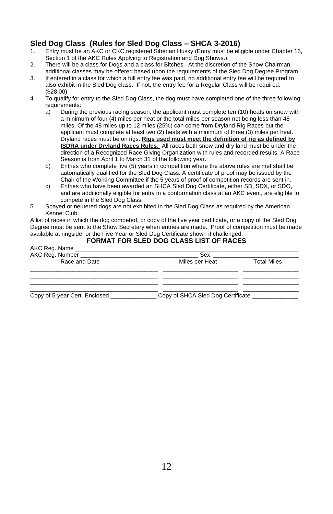# **Sled Dog Class (Rules for Sled Dog Class – SHCA 3-2016)**

- 1. Entry must be an AKC or CKC registered Siberian Husky (Entry must be eligible under Chapter 15, Section 1 of the AKC Rules Applying to Registration and Dog Shows.)
- 2. There will be a class for Dogs and a class for Bitches. At the discretion of the Show Chairman, additional classes may be offered based upon the requirements of the Sled Dog Degree Program.
- 3. If entered in a class for which a full entry fee was paid, no additional entry fee will be required to also exhibit in the Sled Dog class. If not, the entry fee for a Regular Class will be required. (\$28.00)
- 4. To qualify for entry to the Sled Dog Class, the dog must have completed one of the three following requirements:
	- a) During the previous racing season, the applicant must complete ten (10) heats on snow with a minimum of four (4) miles per heat or the total miles per season not being less than 48 miles. Of the 48 miles up to 12 miles (25%) can come from Dryland Rig Races but the applicant must complete at least two (2) heats with a minimum of three (3) miles per heat. Dryland races must be on rigs. **Rigs used must meet the definition of rig as defined by ISDRA under Dryland Races Rules.** All races both snow and dry land must be under the direction of a Recognized Race Giving Organization with rules and recorded results. A Race Season is from April 1 to March 31 of the following year.
	- b) Entries who complete five (5) years in competition where the above rules are met shall be automatically qualified for the Sled Dog Class. A certificate of proof may be issued by the Chair of the Working Committee if the 5 years of proof of competition records are sent in.
	- c) Entries who have been awarded an SHCA Sled Dog Certificate, either SD, SDX, or SDO, and are additionally eligible for entry in a conformation class at an AKC event, are eligible to compete in the Sled Dog Class.
- 5. Spayed or neutered dogs are not exhibited in the Sled Dog Class as required by the American Kennel Club.

A list of races in which the dog competed, or copy of the five year certificate, or a copy of the Sled Dog Degree must be sent to the Show Secretary when entries are made. Proof of competition must be made available at ringside, or the Five Year or Sled Dog Certificate shown if challenged.

### **FORMAT FOR SLED DOG CLASS LIST OF RACES**

| AKC Reg. Name                 | Sex:                                 |  |  |  |
|-------------------------------|--------------------------------------|--|--|--|
| Race and Date                 | Miles per Heat<br><b>Total Miles</b> |  |  |  |
|                               |                                      |  |  |  |
|                               |                                      |  |  |  |
| Copy of 5-year Cert. Enclosed | Copy of SHCA Sled Dog Certificate    |  |  |  |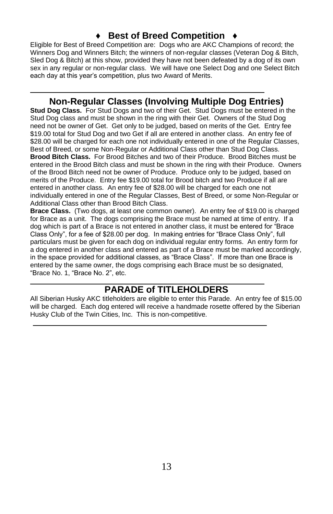# **Best of Breed Competition**

Eligible for Best of Breed Competition are: Dogs who are AKC Champions of record; the Winners Dog and Winners Bitch; the winners of non-regular classes (Veteran Dog & Bitch, Sled Dog & Bitch) at this show, provided they have not been defeated by a dog of its own sex in any regular or non-regular class. We will have one Select Dog and one Select Bitch each day at this year's competition, plus two Award of Merits.

# **Non-Regular Classes (Involving Multiple Dog Entries)**

**Stud Dog Class.** For Stud Dogs and two of their Get. Stud Dogs must be entered in the Stud Dog class and must be shown in the ring with their Get. Owners of the Stud Dog need not be owner of Get. Get only to be judged, based on merits of the Get. Entry fee \$19.00 total for Stud Dog and two Get if all are entered in another class. An entry fee of \$28.00 will be charged for each one not individually entered in one of the Regular Classes, Best of Breed, or some Non-Regular or Additional Class other than Stud Dog Class. **Brood Bitch Class.** For Brood Bitches and two of their Produce. Brood Bitches must be entered in the Brood Bitch class and must be shown in the ring with their Produce. Owners of the Brood Bitch need not be owner of Produce. Produce only to be judged, based on merits of the Produce. Entry fee \$19.00 total for Brood bitch and two Produce if all are entered in another class. An entry fee of \$28.00 will be charged for each one not individually entered in one of the Regular Classes, Best of Breed, or some Non-Regular or Additional Class other than Brood Bitch Class.

**Brace Class.** (Two dogs, at least one common owner). An entry fee of \$19.00 is charged for Brace as a unit. The dogs comprising the Brace must be named at time of entry. If a dog which is part of a Brace is not entered in another class, it must be entered for "Brace Class Only", for a fee of \$28.00 per dog. In making entries for "Brace Class Only", full particulars must be given for each dog on individual regular entry forms. An entry form for a dog entered in another class and entered as part of a Brace must be marked accordingly, in the space provided for additional classes, as "Brace Class". If more than one Brace is entered by the same owner, the dogs comprising each Brace must be so designated, "Brace No. 1, "Brace No. 2", etc.

# **PARADE of TITLEHOLDERS**

All Siberian Husky AKC titleholders are eligible to enter this Parade. An entry fee of \$15.00 will be charged. Each dog entered will receive a handmade rosette offered by the Siberian Husky Club of the Twin Cities, Inc. This is non-competitive.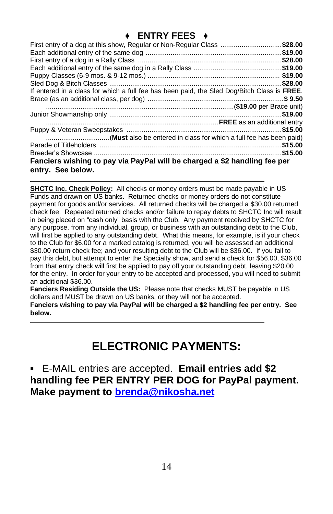# ♦ **ENTRY FEES ♦**

| First entry of a dog at this show, Regular or Non-Regular Class \$28.00                        |  |
|------------------------------------------------------------------------------------------------|--|
|                                                                                                |  |
|                                                                                                |  |
|                                                                                                |  |
|                                                                                                |  |
|                                                                                                |  |
| If entered in a class for which a full fee has been paid, the Sled Dog/Bitch Class is FREE.    |  |
|                                                                                                |  |
|                                                                                                |  |
|                                                                                                |  |
|                                                                                                |  |
|                                                                                                |  |
|                                                                                                |  |
|                                                                                                |  |
|                                                                                                |  |
| Fanciers wishing to pay via PayPal will be charged a \$2 handling fee per<br>entry. See below. |  |

**SHCTC Inc. Check Policy:** All checks or money orders must be made payable in US Funds and drawn on US banks. Returned checks or money orders do not constitute payment for goods and/or services. All returned checks will be charged a \$30.00 returned check fee. Repeated returned checks and/or failure to repay debts to SHCTC Inc will result in being placed on "cash only" basis with the Club. Any payment received by SHCTC for any purpose, from any individual, group, or business with an outstanding debt to the Club, will first be applied to any outstanding debt. What this means, for example, is if your check to the Club for \$6.00 for a marked catalog is returned, you will be assessed an additional \$30.00 return check fee; and your resulting debt to the Club will be \$36.00. If you fail to pay this debt, but attempt to enter the Specialty show, and send a check for \$56.00, \$36.00 from that entry check will first be applied to pay off your outstanding debt, leaving \$20.00 for the entry. In order for your entry to be accepted and processed, you will need to submit an additional \$36.00.

**Fanciers Residing Outside the US:** Please note that checks MUST be payable in US dollars and MUST be drawn on US banks, or they will not be accepted.

**Fanciers wishing to pay via PayPal will be charged a \$2 handling fee per entry. See below.**

# **ELECTRONIC PAYMENTS:**

**▪** E-MAIL entries are accepted. **Email entries add \$2 handling fee PER ENTRY PER DOG for PayPal payment. Make payment to [brenda@nikosha.net](mailto:brenda@nikosha.net)**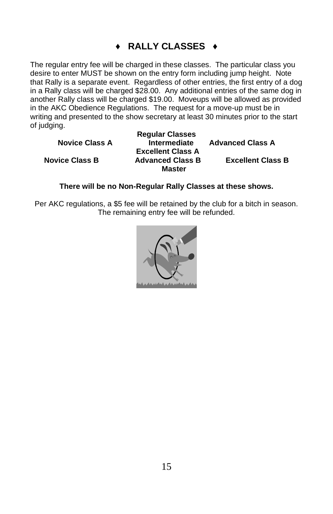# ♦ **RALLY CLASSES ♦**

The regular entry fee will be charged in these classes. The particular class you desire to enter MUST be shown on the entry form including jump height. Note that Rally is a separate event. Regardless of other entries, the first entry of a dog in a Rally class will be charged \$28.00. Any additional entries of the same dog in another Rally class will be charged \$19.00. Moveups will be allowed as provided in the AKC Obedience Regulations. The request for a move-up must be in writing and presented to the show secretary at least 30 minutes prior to the start of judging. **Regular Classes**

| <b>Novice Class A</b> | Requiar Gasses<br><b>Intermediate</b>               | <b>Advanced Class A</b>  |
|-----------------------|-----------------------------------------------------|--------------------------|
| Novice Class B        | <b>Excellent Class A</b><br><b>Advanced Class B</b> | <b>Excellent Class B</b> |
|                       | <b>Master</b>                                       |                          |

### **There will be no Non-Regular Rally Classes at these shows.**

Per AKC regulations, a \$5 fee will be retained by the club for a bitch in season. The remaining entry fee will be refunded.

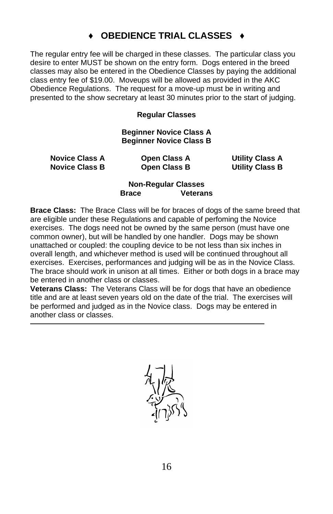# ♦ **OBEDIENCE TRIAL CLASSES ♦**

The regular entry fee will be charged in these classes. The particular class you desire to enter MUST be shown on the entry form. Dogs entered in the breed classes may also be entered in the Obedience Classes by paying the additional class entry fee of \$19.00. Moveups will be allowed as provided in the AKC Obedience Regulations. The request for a move-up must be in writing and presented to the show secretary at least 30 minutes prior to the start of judging.

### **Regular Classes**

### **Beginner Novice Class A Beginner Novice Class B**

| <b>Novice Class A</b> | <b>Open Class A</b> | <b>Utility Class A</b> |
|-----------------------|---------------------|------------------------|
| <b>Novice Class B</b> | <b>Open Class B</b> | <b>Utility Class B</b> |

### **Non-Regular Classes Brace Veterans**

**Brace Class:** The Brace Class will be for braces of dogs of the same breed that are eligible under these Regulations and capable of perfoming the Novice exercises. The dogs need not be owned by the same person (must have one common owner), but will be handled by one handler. Dogs may be shown unattached or coupled: the coupling device to be not less than six inches in overall length, and whichever method is used will be continued throughout all exercises. Exercises, performances and judging will be as in the Novice Class. The brace should work in unison at all times. Either or both dogs in a brace may be entered in another class or classes.

**Veterans Class:** The Veterans Class will be for dogs that have an obedience title and are at least seven years old on the date of the trial. The exercises will be performed and judged as in the Novice class. Dogs may be entered in another class or classes.

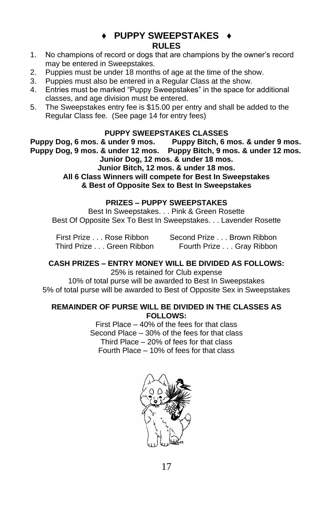# ♦ **PUPPY SWEEPSTAKES ♦ RULES**

- 1. No champions of record or dogs that are champions by the owner's record may be entered in Sweepstakes.
- 2. Puppies must be under 18 months of age at the time of the show.
- 3. Puppies must also be entered in a Regular Class at the show.
- 4. Entries must be marked "Puppy Sweepstakes" in the space for additional classes, and age division must be entered.
- 5. The Sweepstakes entry fee is \$15.00 per entry and shall be added to the Regular Class fee. (See page 14 for entry fees)

# **PUPPY SWEEPSTAKES CLASSES**

**Puppy Dog, 6 mos. & under 9 mos. Puppy Bitch, 6 mos. & under 9 mos. Puppy Dog, 9 mos. & under 12 mos. Puppy Bitch, 9 mos. & under 12 mos. Junior Dog, 12 mos. & under 18 mos.**

**Junior Bitch, 12 mos. & under 18 mos.**

**All 6 Class Winners will compete for Best In Sweepstakes & Best of Opposite Sex to Best In Sweepstakes**

# **PRIZES – PUPPY SWEEPSTAKES**

Best In Sweepstakes. . . Pink & Green Rosette Best Of Opposite Sex To Best In Sweepstakes. . . Lavender Rosette

| First Prize Rose Ribbon  | Second Prize Brown Ribbon |
|--------------------------|---------------------------|
| Third Prize Green Ribbon | Fourth Prize Gray Ribbon  |

# **CASH PRIZES – ENTRY MONEY WILL BE DIVIDED AS FOLLOWS:**

25% is retained for Club expense

10% of total purse will be awarded to Best In Sweepstakes 5% of total purse will be awarded to Best of Opposite Sex in Sweepstakes

### **REMAINDER OF PURSE WILL BE DIVIDED IN THE CLASSES AS FOLLOWS:**

First Place – 40% of the fees for that class Second Place – 30% of the fees for that class Third Place – 20% of fees for that class Fourth Place – 10% of fees for that class

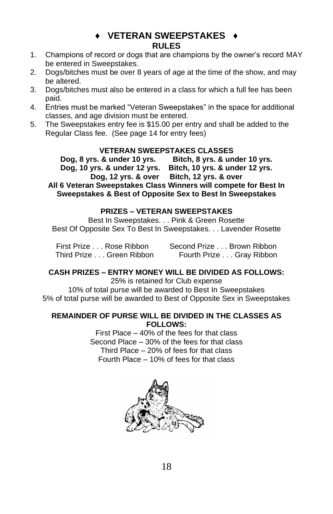# ♦ **VETERAN SWEEPSTAKES ♦ RULES**

- 1. Champions of record or dogs that are champions by the owner's record MAY be entered in Sweepstakes.
- 2. Dogs/bitches must be over 8 years of age at the time of the show, and may be altered.
- 3. Dogs/bitches must also be entered in a class for which a full fee has been paid.
- 4. Entries must be marked "Veteran Sweepstakes" in the space for additional classes, and age division must be entered.
- 5. The Sweepstakes entry fee is \$15.00 per entry and shall be added to the Regular Class fee. (See page 14 for entry fees)

### **VETERAN SWEEPSTAKES CLASSES**

**Dog, 8 yrs. & under 10 yrs. Bitch, 8 yrs. & under 10 yrs. Dog, 10 yrs. & under 12 yrs. Bitch, 10 yrs. & under 12 yrs. Dog, 12 yrs. & over Bitch, 12 yrs. & over All 6 Veteran Sweepstakes Class Winners will compete for Best In Sweepstakes & Best of Opposite Sex to Best In Sweepstakes**

# **PRIZES – VETERAN SWEEPSTAKES**

Best In Sweepstakes. . . Pink & Green Rosette Best Of Opposite Sex To Best In Sweepstakes. . . Lavender Rosette

Third Prize . . . Green Ribbon Fourth Prize . . . Gray Ribbon

First Prize . . . Rose Ribbon Second Prize . . . Brown Ribbon

# **CASH PRIZES – ENTRY MONEY WILL BE DIVIDED AS FOLLOWS:**

25% is retained for Club expense 10% of total purse will be awarded to Best In Sweepstakes 5% of total purse will be awarded to Best of Opposite Sex in Sweepstakes

### **REMAINDER OF PURSE WILL BE DIVIDED IN THE CLASSES AS FOLLOWS:**

First Place – 40% of the fees for that class Second Place – 30% of the fees for that class Third Place – 20% of fees for that class Fourth Place – 10% of fees for that class

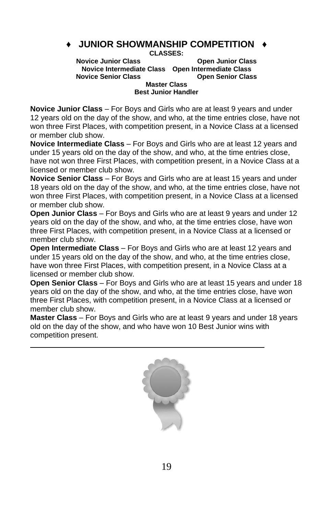# ♦ **JUNIOR SHOWMANSHIP COMPETITION ♦**

**CLASSES:**

**Novice Junior Class Open Junior Class Novice Intermediate Class Open Intermediate Class Novice Senior Class** 

### **Master Class Best Junior Handler**

**Novice Junior Class** – For Boys and Girls who are at least 9 years and under 12 years old on the day of the show, and who, at the time entries close, have not won three First Places, with competition present, in a Novice Class at a licensed or member club show.

**Novice Intermediate Class** – For Boys and Girls who are at least 12 years and under 15 years old on the day of the show, and who, at the time entries close, have not won three First Places, with competition present, in a Novice Class at a licensed or member club show.

**Novice Senior Class** – For Boys and Girls who are at least 15 years and under 18 years old on the day of the show, and who, at the time entries close, have not won three First Places, with competition present, in a Novice Class at a licensed or member club show.

**Open Junior Class** – For Boys and Girls who are at least 9 years and under 12 years old on the day of the show, and who, at the time entries close, have won three First Places, with competition present, in a Novice Class at a licensed or member club show.

**Open Intermediate Class** – For Boys and Girls who are at least 12 years and under 15 years old on the day of the show, and who, at the time entries close, have won three First Places, with competition present, in a Novice Class at a licensed or member club show.

**Open Senior Class** – For Boys and Girls who are at least 15 years and under 18 years old on the day of the show, and who, at the time entries close, have won three First Places, with competition present, in a Novice Class at a licensed or member club show.

**Master Class** – For Boys and Girls who are at least 9 years and under 18 years old on the day of the show, and who have won 10 Best Junior wins with competition present.

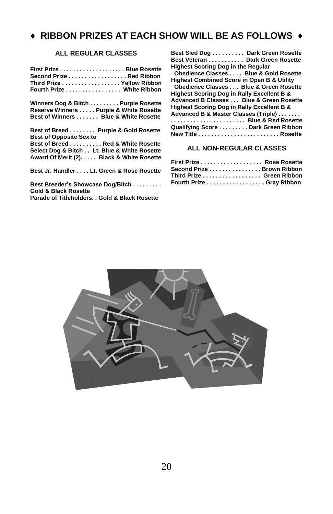# ♦ **RIBBON PRIZES AT EACH SHOW WILL BE AS FOLLOWS ♦**

### **ALL REGULAR CLASSES**

| Second Prize Red Ribbon   |  |
|---------------------------|--|
| Third Prize Yellow Ribbon |  |
| Fourth Prize White Ribbon |  |

**Winners Dog & Bitch . . . . . . . . . Purple Rosette Reserve Winners . . . . . Purple & White Rosette Best of Winners . . . . . . . Blue & White Rosette**

**Best of Breed . . . . . . . . Purple & Gold Rosette Best of Opposite Sex to Best of Breed . . . . . . . . . . Red & White Rosette**

**Select Dog & Bitch . . Lt. Blue & White Rosette Award Of Merit (2). . . . . Black & White Rosette**

**Best Jr. Handler . . . . Lt. Green & Rose Rosette**

**Best Breeder's Showcase Dog/Bitch . . . . . . . . . Gold & Black Rosette Parade of Titleholders. . Gold & Black Rosette**

| Best Sled Dog  Dark Green Rosette                     |  |
|-------------------------------------------------------|--|
| Best Veteran Dark Green Rosette                       |  |
| <b>Highest Scoring Dog in the Regular</b>             |  |
| Obedience Classes  Blue & Gold Rosette                |  |
| <b>Highest Combined Score in Open B &amp; Utility</b> |  |
| Obedience Classes Blue & Green Rosette                |  |
| Highest Scoring Dog in Rally Excellent B &            |  |
| Advanced B Classes Blue & Green Rosette               |  |
| Highest Scoring Dog in Rally Excellent B &            |  |
| Advanced B & Master Classes (Triple)                  |  |
|                                                       |  |
| Qualifying Score Dark Green Ribbon                    |  |
|                                                       |  |

### **ALL NON-REGULAR CLASSES**

| First Prize Rose Rosette  |  |
|---------------------------|--|
| Second Prize Brown Ribbon |  |
| Third Prize Green Ribbon  |  |
| Fourth Prize Gray Ribbon  |  |

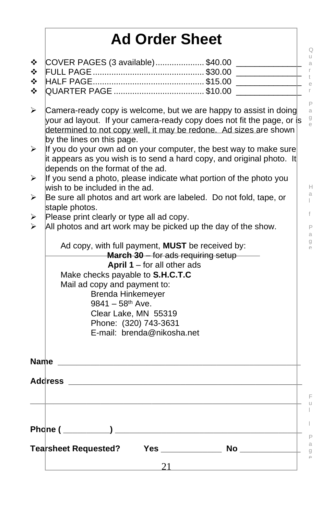# **Ad Order Sheet**

| ❖<br>❖<br>❖<br>❖      | COVER PAGES (3 available)\$40.00<br><u> 1999 - Andrea Maria III, actor a f</u>                                                                                                                                                                                                                                      |
|-----------------------|---------------------------------------------------------------------------------------------------------------------------------------------------------------------------------------------------------------------------------------------------------------------------------------------------------------------|
| ➤                     | Camera-ready copy is welcome, but we are happy to assist in doing<br>your ad layout. If your camera-ready copy does not fit the page, or is<br>determined to not copy well, it may be redone. Ad sizes are shown<br>by the lines on this page.                                                                      |
| ➤                     | If you do your own ad on your computer, the best way to make sure<br>it appears as you wish is to send a hard copy, and original photo. It<br>depends on the format of the ad.                                                                                                                                      |
| ➤                     | If you send a photo, please indicate what portion of the photo you<br>wish to be included in the ad.                                                                                                                                                                                                                |
| ➤                     | Be sure all photos and art work are labeled. Do not fold, tape, or<br>staple photos.                                                                                                                                                                                                                                |
| ➤                     | Please print clearly or type all ad copy.                                                                                                                                                                                                                                                                           |
| $\blacktriangleright$ | All photos and art work may be picked up the day of the show.                                                                                                                                                                                                                                                       |
|                       | Ad copy, with full payment, MUST be received by:<br>March 30 - for ads requiring setup<br>April $1$ – for all other ads<br>Make checks payable to S.H.C.T.C<br>Mail ad copy and payment to:<br>Brenda Hinkemeyer<br>9841 - 58th Ave.<br>Clear Lake, MN 55319<br>Phone: (320) 743-3631<br>E-mail: brenda@nikosha.net |
| <b>Name</b>           |                                                                                                                                                                                                                                                                                                                     |
|                       |                                                                                                                                                                                                                                                                                                                     |
|                       | Address                                                                                                                                                                                                                                                                                                             |
|                       |                                                                                                                                                                                                                                                                                                                     |
|                       | <b>Tearsheet Requested?</b>                                                                                                                                                                                                                                                                                         |
|                       | 21                                                                                                                                                                                                                                                                                                                  |

u l l P a

> g e

F

Q u a r t e r P a g e

 $\mathbb H$ a l f P a g e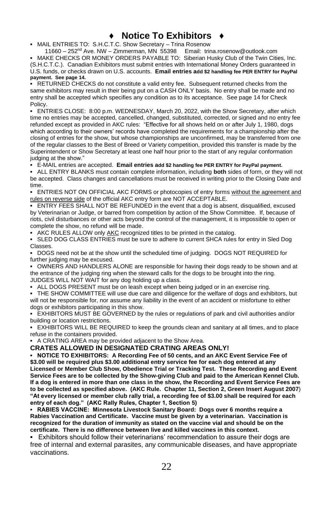# **Notice To Exhibitors**

**MAIL ENTRIES TO: S.H.C.T.C. Show Secretary – Trina Rosenow <br>11660 – 252<sup>nd</sup> Ave. NW – Zimmerman, MN 55398 Email: trina.rosenow@outlook.com** 11660 – 252 $nd$  Ave. NW – Zimmerman, MN 55398

**MAKE CHECKS OR MONEY ORDERS PAYABLE TO: Siberian Husky Club of the Twin Cities, Inc.** (S.H.C.T.C.). Canadian Exhibitors must submit entries with International Money Orders guaranteed in U.S. funds, or checks drawn on U.S. accounts. **Email entries add \$2 handling fee PER ENTRY for PayPal payment. See page 14.**

**▪** RETURNED CHECKS do not constitute a valid entry fee. Subsequent returned checks from the same exhibitors may result in their being put on a CASH ONLY basis. No entry shall be made and no entry shall be accepted which specifies any condition as to its acceptance. See page 14 for Check **Policy** 

**▪** ENTRIES CLOSE: 8:00 p.m. WEDNESDAY, March 20, 2022, with the Show Secretary, after which time no entries may be accepted, cancelled, changed, substituted, corrected, or signed and no entry fee refunded except as provided in AKC rules: "Effective for all shows held on or after July 1, 1980, dogs which according to their owners' records have completed the requirements for a championship after the closing of entries for the show, but whose championships are unconfirmed, may be transferred from one of the regular classes to the Best of Breed or Variety competition, provided this transfer is made by the Superintendent or Show Secretary at least one half hour prior to the start of any regular conformation judging at the show."

**▪** E-MAIL entries are accepted. **Email entries add \$2 handling fee PER ENTRY for PayPal payment.**

**▪** ALL ENTRY BLANKS must contain complete information, including **both** sides of form, or they will not be accepted. Class changes and cancellations must be received in writing prior to the Closing Date and time.

**▪** ENTRIES NOT ON OFFICIAL AKC FORMS or photocopies of entry forms without the agreement and rules on reverse side of the official AKC entry form are NOT ACCEPTABLE.

**▪** ENTRY FEES SHALL NOT BE REFUNDED in the event that a dog is absent, disqualified, excused by Veterinarian or Judge, or barred from competition by action of the Show Committee. If, because of riots, civil disturbances or other acts beyond the control of the management, it is impossible to open or complete the show, no refund will be made.

AKC RULES ALLOW only **AKC** recognized titles to be printed in the catalog.

SLED DOG CLASS ENTRIES must be sure to adhere to current SHCA rules for entry in Sled Dog Classes.

**▪** DOGS need not be at the show until the scheduled time of judging. DOGS NOT REQUIRED for further judging may be excused.

**• OWNERS AND HANDLERS ALONE are responsible for having their dogs ready to be shown and at** the entrance of the judging ring when the steward calls for the dogs to be brought into the ring. JUDGES WILL NOT WAIT for any dog holding up a class.

ALL DOGS PRESENT must be on leash except when being judged or in an exercise ring.

**▪** THE SHOW COMMITTEE will use due care and diligence for the welfare of dogs and exhibitors, but will not be responsible for, nor assume any liability in the event of an accident or misfortune to either dogs or exhibitors participating in this show.

**▪** EXHIBITORS MUST BE GOVERNED by the rules or regulations of park and civil authorities and/or building or location restrictions.

**▪** EXHIBITORS WILL BE REQUIRED to keep the grounds clean and sanitary at all times, and to place refuse in the containers provided.

**▪** A CRATING AREA may be provided adjacent to the Show Area.

### **CRATES ALLOWED IN DESIGNATED CRATING AREAS ONLY!**

**RICT AT A REPORT FIGURE 1 A RECOLD FOR STAR A FIGURE 1 A REPORT AT A FIGURE 15 A REPORT FOR STAR FIGURE 10 A FI \$3.00 will be required plus \$3.00 additional entry service fee for each dog entered at any Licensed or Member Club Show, Obedience Trial or Tracking Test. These Recording and Event Service Fees are to be collected by the Show-giving Club and paid to the American Kennel Club. If a dog is entered in more than one class in the show, the Recording and Event Service Fees are to be collected as specified above. (AKC Rule. Chapter 11, Section 2, Green Insert August 2007**) **"At every licensed or member club rally trial, a recording fee of \$3.00 shall be required for each entry of each dog." (AKC Rally Rules, Chapter 1, Section 5)**

**▪ RABIES VACCINE: Minnesota Livestock Sanitary Board: Dogs over 6 months require a Rabies Vaccination and Certificate. Vaccine must be given by a veterinarian. Vaccination is recognized for the duration of immunity as stated on the vaccine vial and should be on the certificate. There is no difference between live and killed vaccines in this context.**

**▪** Exhibitors should follow their veterinarians' recommendation to assure their dogs are free of internal and external parasites, any communicable diseases, and have appropriate vaccinations.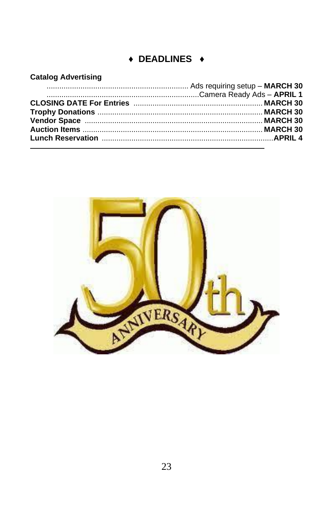# ◆ DEADLINES ◆

# **Catalog Advertising**

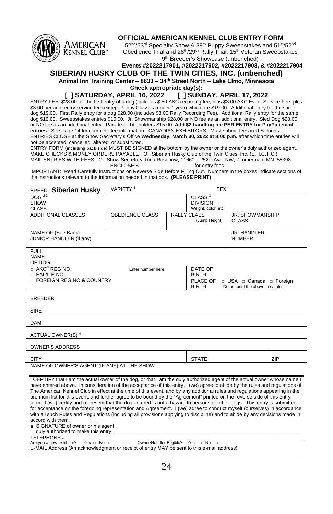

### **OFFICIAL AMERICAN KENNEL CLUB ENTRY FORM**

52<sup>nd</sup>/53<sup>rd</sup> Specialty Show & 39<sup>th</sup> Puppy Sweepstakes and 51<sup>st</sup>/52<sup>nd</sup> Obedience Trial and 28<sup>th</sup>/29<sup>th</sup> Rally Trial, 15<sup>th</sup> Veteran Sweepstakes 9 th Breeder's Showcase (unbenched)

**Events #2022217901, #2022217902, #2022217903, & #2022217904**

**SIBERIAN HUSKY CLUB OF THE TWIN CITIES, INC. (unbenched) Animal Inn Training Center – 8633 – 34th Street North – Lake Elmo, Minnesota**

**Check appropriate day(s):** 

# **[ ] SATURDAY, APRIL 16, 2022 [ ] SUNDAY, APRIL 17, 2022**

ENTRY FEE: \$28.00 for the first entry of a dog (includes \$.50 AKC recording fee, plus \$3.00 AKC Event Service Fee, plus \$3.00 per addl entry service fee) except Puppy Classes (under 1 year) which are \$19.00. Additional entry for the same dog \$19.00. First Rally entry for a dog \$28.00 (includes \$3.00 Rally Recording Fee). Additional Rally entry for the same dog \$19.00. Sweepstakes entries \$15.00. Jr. Showmanship \$28.00 or NO fee as an additional entry. Sled Dog \$28.00 or NO fee as an additional entry. Parade of Titleholders \$15.00. **Add \$2 handling fee PER ENTRY for PayPal/email entries.** See Page 14 for complete fee information. CANADIAN EXHIBITORS: Must submit fees in U.S. funds. ENTRIES CLOSE at the Show Secretary's Office **Wednesday, March 30, 2022 at 8:00 p.m.** after which time entries will not be accepted, cancelled, altered, or substituted.

ENTRY FORM (**including back side**) MUST BE SIGNED at the bottom by the owner or the owner's duly authorized agent. MAKE CHECKS & MONEY ORDERS PAYABLE TO: Siberian Husky Club of the Twin Cities, Inc. (S.H.C.T.C.) MAIL ENTRIES WITH FEES TO: Show Secretary Trina Rosenow, 11660 – 252<sup>nd</sup> Ave. NW, Zimmerman, MN 55398<br>I ENCLOSE \$ [1500] FENCLOSE \$ [1500] For entry fees. \_\_for entry fees.

IMPORTANT: Read Carefully Instructions on Reverse Side Before Filling Out. Numbers in the boxes indicate sections of the instructions relevant to the information needed in that box. **(PLEASE PRINT)**

| <b>BREED Siberian Husky</b>                                                                                                                                                                                                                                                                                                                                                                                                                                                                                                                                                                                                                                                                                                                                                                                                                                                                                                                                                                                                                                                    | VARIETY <sup>1</sup>               |                    |                                                              | <b>SEX</b> |                                        |     |
|--------------------------------------------------------------------------------------------------------------------------------------------------------------------------------------------------------------------------------------------------------------------------------------------------------------------------------------------------------------------------------------------------------------------------------------------------------------------------------------------------------------------------------------------------------------------------------------------------------------------------------------------------------------------------------------------------------------------------------------------------------------------------------------------------------------------------------------------------------------------------------------------------------------------------------------------------------------------------------------------------------------------------------------------------------------------------------|------------------------------------|--------------------|--------------------------------------------------------------|------------|----------------------------------------|-----|
| DOG <sup>23</sup><br><b>SHOW</b><br>CLASS                                                                                                                                                                                                                                                                                                                                                                                                                                                                                                                                                                                                                                                                                                                                                                                                                                                                                                                                                                                                                                      |                                    |                    | CLASS <sup>3</sup><br><b>DIVISION</b><br>Weight, color, etc. |            |                                        |     |
| <b>ADDITIONAL CLASSES</b>                                                                                                                                                                                                                                                                                                                                                                                                                                                                                                                                                                                                                                                                                                                                                                                                                                                                                                                                                                                                                                                      | <b>OBEDIENCE CLASS</b>             | <b>RALLY CLASS</b> | (Jump Height)                                                |            | <b>JR. SHOWMANSHIP</b><br><b>CLASS</b> |     |
| NAME OF (See Back)<br>JUNIOR HANDLER (if any)                                                                                                                                                                                                                                                                                                                                                                                                                                                                                                                                                                                                                                                                                                                                                                                                                                                                                                                                                                                                                                  |                                    |                    |                                                              |            | JR. HANDLER<br><b>NUMBER</b>           |     |
| <b>FULL</b><br><b>NAME</b><br>OF DOG                                                                                                                                                                                                                                                                                                                                                                                                                                                                                                                                                                                                                                                                                                                                                                                                                                                                                                                                                                                                                                           |                                    |                    |                                                              |            |                                        |     |
| $\Box$ AKC <sup>®</sup> REG NO.                                                                                                                                                                                                                                                                                                                                                                                                                                                                                                                                                                                                                                                                                                                                                                                                                                                                                                                                                                                                                                                | Enter number here                  |                    | DATE OF                                                      |            |                                        |     |
| n PAL/ILP NO.<br><b>D FOREIGN REG NO &amp; COUNTRY</b>                                                                                                                                                                                                                                                                                                                                                                                                                                                                                                                                                                                                                                                                                                                                                                                                                                                                                                                                                                                                                         |                                    |                    | <b>BIRTH</b><br>PLACE OF                                     |            | □ USA □ Canada □ Foreign               |     |
|                                                                                                                                                                                                                                                                                                                                                                                                                                                                                                                                                                                                                                                                                                                                                                                                                                                                                                                                                                                                                                                                                |                                    |                    | <b>BIRTH</b>                                                 |            | Do not print the above in catalog      |     |
| <b>BREEDER</b>                                                                                                                                                                                                                                                                                                                                                                                                                                                                                                                                                                                                                                                                                                                                                                                                                                                                                                                                                                                                                                                                 |                                    |                    |                                                              |            |                                        |     |
| <b>SIRE</b>                                                                                                                                                                                                                                                                                                                                                                                                                                                                                                                                                                                                                                                                                                                                                                                                                                                                                                                                                                                                                                                                    |                                    |                    |                                                              |            |                                        |     |
| <b>DAM</b>                                                                                                                                                                                                                                                                                                                                                                                                                                                                                                                                                                                                                                                                                                                                                                                                                                                                                                                                                                                                                                                                     |                                    |                    |                                                              |            |                                        |     |
| ACTUAL OWNER(S) <sup>4</sup>                                                                                                                                                                                                                                                                                                                                                                                                                                                                                                                                                                                                                                                                                                                                                                                                                                                                                                                                                                                                                                                   |                                    |                    |                                                              |            |                                        |     |
| <b>OWNER'S ADDRESS</b>                                                                                                                                                                                                                                                                                                                                                                                                                                                                                                                                                                                                                                                                                                                                                                                                                                                                                                                                                                                                                                                         |                                    |                    |                                                              |            |                                        |     |
| <b>CITY</b>                                                                                                                                                                                                                                                                                                                                                                                                                                                                                                                                                                                                                                                                                                                                                                                                                                                                                                                                                                                                                                                                    |                                    |                    | <b>STATE</b>                                                 |            |                                        | ZIP |
| NAME OF OWNER'S AGENT (IF ANY) AT THE SHOW                                                                                                                                                                                                                                                                                                                                                                                                                                                                                                                                                                                                                                                                                                                                                                                                                                                                                                                                                                                                                                     |                                    |                    |                                                              |            |                                        |     |
| I CERTIFY that I am the actual owner of the dog, or that I am the duly authorized agent of the actual owner whose name I<br>have entered above. In consideration of the acceptance of this entry, I (we) agree to abide by the rules and regulations of<br>The American Kennel Club in effect at the time of this event, and by any additional rules and regulations appearing in the<br>premium list for this event, and further agree to be bound by the "Agreement" printed on the reverse side of this entry<br>form. I (we) certify and represent that the dog entered is not a hazard to persons or other dogs. This entry is submitted<br>for acceptance on the foregoing representation and Agreement. I (we) agree to conduct myself (ourselves) in accordance<br>with all such Rules and Regulations (including all provisions applying to discipline) and to abide by any decisions made in<br>accord with them.<br>SIGNATURE of owner or his agent<br>duly authorized to make this entry<br><b>TELEPHONE #</b><br>Yes $\Box$ No $\Box$<br>Are you a new exhibitor? | Owner/Handler Eligible? Yes a No a |                    |                                                              |            |                                        |     |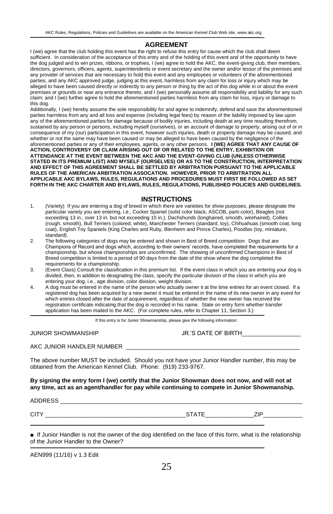### **AGREEMENT**

I (we) agree that the club holding this event has the right to refuse this entry for cause which the club shall deem sufficient. In consideration of the acceptance of this entry and of the holding of this event and of the opportunity to have the dog judged and to win prizes, ribbons, or trophies, I (we) agree to hold the AKC, the event-giving club, their members, directors, governors, officers, agents, superintendents or event secretary and the owner and/or lessor of the premises and any provider of services that are necessary to hold this event and any employees or volunteers of the aforementioned parties, and any AKC approved judge, judging at this event, harmless from any claim for loss or injury which may be alleged to have been caused directly or indirectly to any person or thing by the act of this dog while in or about the event premises or grounds or near any entrance thereto, and I (we) personally assume all responsibility and liability for any such claim; and I (we) further agree to hold the aforementioned parties harmless from any claim for loss, injury or damage to this dog.

Additionally, I (we) hereby assume the sole responsibility for and agree to indemnify, defend and save the aforementioned parties harmless from any and all loss and expense (including legal fees) by reason of the liability imposed by law upon any of the aforementioned parties for damage because of bodily injuries, including death at any time resulting therefrom, sustained by any person or persons, including myself (ourselves), or an account of damage to property, arising out of or in consequence of my (our) participation in this event, however such injuries, death or property damage may be caused, and whether or not the same may have been caused or may be alleged to have been caused by the negligence of the aforementioned parties or any of their employees, agents, or any other persons. **I (WE) AGREE THAT ANY CAUSE OF ACTION, CONTROVERSY OR CLAIM ARISING OUT OF OR RELATED TO THE ENTRY, EXHIBITION OR ATTENDANCE AT THE EVENT BETWEEN THE AKC AND THE EVENT-GIVING CLUB (UNLESS OTHERWISE STATED IN ITS PREMIUM LIST) AND MYSELF (OURSELVES) OR AS TO THE CONSTRUCTION, INTERPRETATION AND EFFECT OF THIS AGREEMENT SHALL BE SETTLED BY ARBITRATION PURSUANT TO THE APPLICABLE RULES OF THE AMERICAN ARBITRATION ASSOCATION. HOWEVER, PRIOR TO ARBITRATION ALL APPLICABLE AKC BYLAWS, RULES, REGULATIONS AND PROCEDURES MUST FIRST BE FOLLOWED AS SET FORTH IN THE AKC CHARTER AND BYLAWS, RULES, REGULATIONS, PUBLISHED POLICIES AND GUIDELINES.**

### **INSTRUCTIONS**

- 1. (Variety) If you are entering a dog of breed in which there are varieties for show purposes, please designate the particular variety you are entering, i.e., Cocker Spaniel (solid color black, ASCOB, parti-color), Beagles (not exceeding 13 in., over 13 in. but not exceeding 15 in.), Dachshunds (longhaired, smooth, wirehaired), Collies (rough, smooth), Bull Terriers (colored, white), Manchester Terriers (standard, toy), Chihuahuas (smooth coat, long coat), English Toy Spaniels (King Charles and Ruby, Blenheim and Prince Charles), Poodles (toy, miniature, standard).
- 2. The following categories of dogs may be entered and shown in Best of Breed competition: Dogs that are Champions of Record and dogs which, according to their owners' records, have completed the requirements for a championship, but whose championships are unconfirmed. The showing of unconfirmed Champions in Best of Breed competition is limited to a period of 90 days from the date of the show where the dog completed the requirements for a championship.
- 3. (Event Class) Consult the classification in this premium list. If the event class in which you are entering your dog is divided, then, in addition to designating the class, specify the particular division of the class in which you are entering your dog, i.e., age division, color division, weight division.
- 4. A dog must be entered in the name of the person who actually owner it at the time entries for an event closed. If a registered dog has been acquired by a new owner it must be entered in the name of its new owner in any event for which entries closed after the date of acquirement, regardless of whether the new owner has received the registration certificate indicating that the dog is recorded in his name. State on entry form whether transfer application has been mailed to the AKC. (For complete rules, refer to Chapter 11, Section 3.)

If this entry is for Junior Showmanship, please give the following information:

JUNIOR SHOWMANSHIP JR.'S DATE OF BIRTH

### AKC JUNIOR HANDLER NUMBER

The above number MUST be included. Should you not have your Junior Handler number, this may be obtained from the American Kennel Club. Phone: (919) 233-9767.

**By signing the entry form I (we) certify that the Junior Showman does not now, and will not at any time, act as an agent/handler for pay while continuing to compete in Junior Showmanship.**

ADDRESS \_\_\_\_\_\_\_\_\_\_\_\_\_\_\_\_\_\_\_\_\_\_\_\_\_\_\_\_\_\_\_\_\_\_\_\_\_\_\_\_\_\_\_\_\_\_\_\_\_\_\_\_\_\_\_\_\_\_\_\_\_\_\_\_\_\_\_\_\_\_\_\_\_\_

CITY THE CITY CONSTANT CONSTANT AND STATE THE STATE STATE STATE STATE STATE STATE STATE STATE STATE STATE STATE STATE STATE STATE STATE STATE STATE STATE STATE STATE STATE STATE STATE STATE STATE STATE STATE STATE STATE ST

■ If Junior Handler is not the owner of the dog identified on the face of this form, what is the relationship of the Junior Handler to the Owner?

AEN999 (11/16) v 1.3 Edit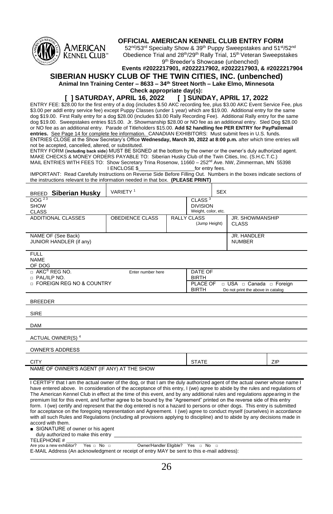

### **OFFICIAL AMERICAN KENNEL CLUB ENTRY FORM**

52<sup>nd</sup>/53<sup>rd</sup> Specialty Show & 39<sup>th</sup> Puppy Sweepstakes and 51<sup>st</sup>/52<sup>nd</sup> Obedience Trial and 28<sup>th</sup>/29<sup>th</sup> Rally Trial, 15<sup>th</sup> Veteran Sweepstakes 9<sup>th</sup> Breeder's Showcase (unbenched)

**Events #2022217901, #2022217902, #2022217903, & #2022217904**

**SIBERIAN HUSKY CLUB OF THE TWIN CITIES, INC. (unbenched)**

**Animal Inn Training Center – 8633 – 34th Street North – Lake Elmo, Minnesota**

**Check appropriate day(s):** 

### **[ ] SATURDAY, APRIL 16, 2022 [ ] SUNDAY, APRIL 17, 2022**

ENTRY FEE: \$28.00 for the first entry of a dog (includes \$.50 AKC recording fee, plus \$3.00 AKC Event Service Fee, plus \$3.00 per addl entry service fee) except Puppy Classes (under 1 year) which are \$19.00. Additional entry for the same dog \$19.00. First Rally entry for a dog \$28.00 (includes \$3.00 Rally Recording Fee). Additional Rally entry for the same dog \$19.00. Sweepstakes entries \$15.00. Jr. Showmanship \$28.00 or NO fee as an additional entry. Sled Dog \$28.00 or NO fee as an additional entry. Parade of Titleholders \$15.00. **Add \$2 handling fee PER ENTRY for PayPal/email entries.** See Page 14 for complete fee information. CANADIAN EXHIBITORS: Must submit fees in U.S. funds. ENTRIES CLOSE at the Show Secretary's Office **Wednesday, March 30, 2022 at 8:00 p.m.** after which time entries will not be accepted, cancelled, altered, or substituted.

ENTRY FORM (**including back side**) MUST BE SIGNED at the bottom by the owner or the owner's duly authorized agent. MAKE CHECKS & MONEY ORDERS PAYABLE TO: Siberian Husky Club of the Twin Cities, Inc. (S.H.C.T.C.) MAIL ENTRIES WITH FEES TO: Show Secretary Trina Rosenow, 11660 - 252<sup>nd</sup> Ave. NW, Zimmerman, MN 55398 I ENCLOSE \$ for entry fees.

IMPORTANT: Read Carefully Instructions on Reverse Side Before Filling Out. Numbers in the boxes indicate sections of the instructions relevant to the information needed in that box. **(PLEASE PRINT)**

| <b>BREED Siberian Husky</b>                                                                                                                                                                                                                                                                                                                                                                                                                                                                                                                                                                                                                                                                                                                                                                                                                                                                                                                                                                                                                                                                                                                                           | VARIETY <sup>1</sup>               |                                                              | <b>SEX</b> |                                                               |     |
|-----------------------------------------------------------------------------------------------------------------------------------------------------------------------------------------------------------------------------------------------------------------------------------------------------------------------------------------------------------------------------------------------------------------------------------------------------------------------------------------------------------------------------------------------------------------------------------------------------------------------------------------------------------------------------------------------------------------------------------------------------------------------------------------------------------------------------------------------------------------------------------------------------------------------------------------------------------------------------------------------------------------------------------------------------------------------------------------------------------------------------------------------------------------------|------------------------------------|--------------------------------------------------------------|------------|---------------------------------------------------------------|-----|
| DOG <sup>23</sup><br><b>SHOW</b><br><b>CLASS</b>                                                                                                                                                                                                                                                                                                                                                                                                                                                                                                                                                                                                                                                                                                                                                                                                                                                                                                                                                                                                                                                                                                                      |                                    | CLASS <sup>3</sup><br><b>DIVISION</b><br>Weight, color, etc. |            |                                                               |     |
| <b>ADDITIONAL CLASSES</b>                                                                                                                                                                                                                                                                                                                                                                                                                                                                                                                                                                                                                                                                                                                                                                                                                                                                                                                                                                                                                                                                                                                                             | OBEDIENCE CLASS                    | RALLY CLASS<br>(Jump Height)                                 |            | <b>JR. SHOWMANSHIP</b><br><b>CLASS</b>                        |     |
| NAME OF (See Back)<br>JUNIOR HANDLER (if any)                                                                                                                                                                                                                                                                                                                                                                                                                                                                                                                                                                                                                                                                                                                                                                                                                                                                                                                                                                                                                                                                                                                         |                                    |                                                              |            | <b>JR. HANDLER</b><br><b>NUMBER</b>                           |     |
| <b>FULL</b><br><b>NAME</b><br>OF DOG                                                                                                                                                                                                                                                                                                                                                                                                                                                                                                                                                                                                                                                                                                                                                                                                                                                                                                                                                                                                                                                                                                                                  |                                    |                                                              |            |                                                               |     |
| $\Box$ AKC <sup>®</sup> REG NO.<br>n PAL/ILP NO.                                                                                                                                                                                                                                                                                                                                                                                                                                                                                                                                                                                                                                                                                                                                                                                                                                                                                                                                                                                                                                                                                                                      | Enter number here                  | DATE OF<br><b>BIRTH</b>                                      |            |                                                               |     |
| □ FOREIGN REG NO & COUNTRY                                                                                                                                                                                                                                                                                                                                                                                                                                                                                                                                                                                                                                                                                                                                                                                                                                                                                                                                                                                                                                                                                                                                            |                                    | PLACE OF<br><b>BIRTH</b>                                     |            | □ USA □ Canada □ Foreign<br>Do not print the above in catalog |     |
| <b>BREEDER</b>                                                                                                                                                                                                                                                                                                                                                                                                                                                                                                                                                                                                                                                                                                                                                                                                                                                                                                                                                                                                                                                                                                                                                        |                                    |                                                              |            |                                                               |     |
| <b>SIRE</b>                                                                                                                                                                                                                                                                                                                                                                                                                                                                                                                                                                                                                                                                                                                                                                                                                                                                                                                                                                                                                                                                                                                                                           |                                    |                                                              |            |                                                               |     |
| <b>DAM</b>                                                                                                                                                                                                                                                                                                                                                                                                                                                                                                                                                                                                                                                                                                                                                                                                                                                                                                                                                                                                                                                                                                                                                            |                                    |                                                              |            |                                                               |     |
| ACTUAL OWNER(S) <sup>4</sup>                                                                                                                                                                                                                                                                                                                                                                                                                                                                                                                                                                                                                                                                                                                                                                                                                                                                                                                                                                                                                                                                                                                                          |                                    |                                                              |            |                                                               |     |
| <b>OWNER'S ADDRESS</b>                                                                                                                                                                                                                                                                                                                                                                                                                                                                                                                                                                                                                                                                                                                                                                                                                                                                                                                                                                                                                                                                                                                                                |                                    |                                                              |            |                                                               |     |
| <b>CITY</b>                                                                                                                                                                                                                                                                                                                                                                                                                                                                                                                                                                                                                                                                                                                                                                                                                                                                                                                                                                                                                                                                                                                                                           |                                    | <b>STATE</b>                                                 |            |                                                               | ZIP |
| NAME OF OWNER'S AGENT (IF ANY) AT THE SHOW                                                                                                                                                                                                                                                                                                                                                                                                                                                                                                                                                                                                                                                                                                                                                                                                                                                                                                                                                                                                                                                                                                                            |                                    |                                                              |            |                                                               |     |
| I CERTIFY that I am the actual owner of the dog, or that I am the duly authorized agent of the actual owner whose name I<br>have entered above. In consideration of the acceptance of this entry, I (we) agree to abide by the rules and regulations of<br>The American Kennel Club in effect at the time of this event, and by any additional rules and regulations appearing in the<br>premium list for this event, and further agree to be bound by the "Agreement" printed on the reverse side of this entry<br>form. I (we) certify and represent that the dog entered is not a hazard to persons or other dogs. This entry is submitted<br>for acceptance on the foregoing representation and Agreement. I (we) agree to conduct myself (ourselves) in accordance<br>with all such Rules and Regulations (including all provisions applying to discipline) and to abide by any decisions made in<br>accord with them.<br>SIGNATURE of owner or his agent<br>duly authorized to make this entry<br>TELEPHONE #<br>Yes $\Box$ No $\Box$<br>Are you a new exhibitor?<br>E-MAIL Address (An acknowledgment or receipt of entry MAY be sent to this e-mail address): | Owner/Handler Eligible? Yes a No a |                                                              |            |                                                               |     |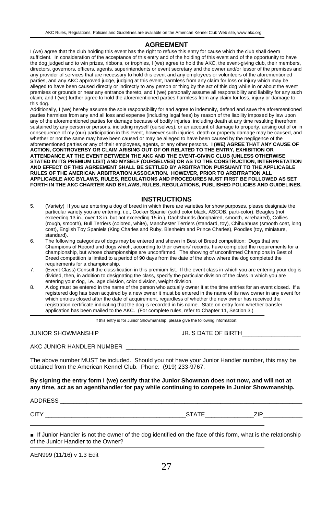### **AGREEMENT**

I (we) agree that the club holding this event has the right to refuse this entry for cause which the club shall deem sufficient. In consideration of the acceptance of this entry and of the holding of this event and of the opportunity to have the dog judged and to win prizes, ribbons, or trophies, I (we) agree to hold the AKC, the event-giving club, their members, directors, governors, officers, agents, superintendents or event secretary and the owner and/or lessor of the premises and any provider of services that are necessary to hold this event and any employees or volunteers of the aforementioned parties, and any AKC approved judge, judging at this event, harmless from any claim for loss or injury which may be alleged to have been caused directly or indirectly to any person or thing by the act of this dog while in or about the event premises or grounds or near any entrance thereto, and I (we) personally assume all responsibility and liability for any such claim; and I (we) further agree to hold the aforementioned parties harmless from any claim for loss, injury or damage to this dog.

Additionally, I (we) hereby assume the sole responsibility for and agree to indemnify, defend and save the aforementioned parties harmless from any and all loss and expense (including legal fees) by reason of the liability imposed by law upon any of the aforementioned parties for damage because of bodily injuries, including death at any time resulting therefrom, sustained by any person or persons, including myself (ourselves), or an account of damage to property, arising out of or in consequence of my (our) participation in this event, however such injuries, death or property damage may be caused, and whether or not the same may have been caused or may be alleged to have been caused by the negligence of the aforementioned parties or any of their employees, agents, or any other persons. **I (WE) AGREE THAT ANY CAUSE OF ACTION, CONTROVERSY OR CLAIM ARISING OUT OF OR RELATED TO THE ENTRY, EXHIBITION OR ATTENDANCE AT THE EVENT BETWEEN THE AKC AND THE EVENT-GIVING CLUB (UNLESS OTHERWISE STATED IN ITS PREMIUM LIST) AND MYSELF (OURSELVES) OR AS TO THE CONSTRUCTION, INTERPRETATION AND EFFECT OF THIS AGREEMENT SHALL BE SETTLED BY ARBITRATION PURSUANT TO THE APPLICABLE RULES OF THE AMERICAN ARBITRATION ASSOCATION. HOWEVER, PRIOR TO ARBITRATION ALL APPLICABLE AKC BYLAWS, RULES, REGULATIONS AND PROCEDURES MUST FIRST BE FOLLOWED AS SET FORTH IN THE AKC CHARTER AND BYLAWS, RULES, REGULATIONS, PUBLISHED POLICIES AND GUIDELINES.**

### **INSTRUCTIONS**

- 5. (Variety) If you are entering a dog of breed in which there are varieties for show purposes, please designate the particular variety you are entering, i.e., Cocker Spaniel (solid color black, ASCOB, parti-color), Beagles (not exceeding 13 in., over 13 in. but not exceeding 15 in.), Dachshunds (longhaired, smooth, wirehaired), Collies (rough, smooth), Bull Terriers (colored, white), Manchester Terriers (standard, toy), Chihuahuas (smooth coat, long coat), English Toy Spaniels (King Charles and Ruby, Blenheim and Prince Charles), Poodles (toy, miniature, standard).
- 6. The following categories of dogs may be entered and shown in Best of Breed competition: Dogs that are Champions of Record and dogs which, according to their owners' records, have completed the requirements for a championship, but whose championships are unconfirmed. The showing of unconfirmed Champions in Best of Breed competition is limited to a period of 90 days from the date of the show where the dog completed the requirements for a championship.
- 7. (Event Class) Consult the classification in this premium list. If the event class in which you are entering your dog is divided, then, in addition to designating the class, specify the particular division of the class in which you are entering your dog, i.e., age division, color division, weight division.
- 8. A dog must be entered in the name of the person who actually owner it at the time entries for an event closed. If a registered dog has been acquired by a new owner it must be entered in the name of its new owner in any event for which entries closed after the date of acquirement, regardless of whether the new owner has received the registration certificate indicating that the dog is recorded in his name. State on entry form whether transfer application has been mailed to the AKC. (For complete rules, refer to Chapter 11, Section 3.)

If this entry is for Junior Showmanship, please give the following information:

JUNIOR SHOWMANSHIP JR.'S DATE OF BIRTH

### AKC JUNIOR HANDLER NUMBER

The above number MUST be included. Should you not have your Junior Handler number, this may be obtained from the American Kennel Club. Phone: (919) 233-9767.

**By signing the entry form I (we) certify that the Junior Showman does not now, and will not at any time, act as an agent/handler for pay while continuing to compete in Junior Showmanship.**

ADDRESS \_\_\_\_\_\_\_\_\_\_\_\_\_\_\_\_\_\_\_\_\_\_\_\_\_\_\_\_\_\_\_\_\_\_\_\_\_\_\_\_\_\_\_\_\_\_\_\_\_\_\_\_\_\_\_\_\_\_\_\_\_\_\_\_\_\_\_\_\_\_\_\_\_\_

CITY THE CITY CONSTRUCT AND STATE THE STATE STATE STATE SERVICE AND STATE STATE STATE STATE STATE STATE STATE STATE STATE STATE STATE STATE STATE STATE STATE STATE STATE STATE STATE STATE STATE STATE STATE STATE STATE STAT

■ If Junior Handler is not the owner of the dog identified on the face of this form, what is the relationship of the Junior Handler to the Owner?

AEN999 (11/16) v 1.3 Edit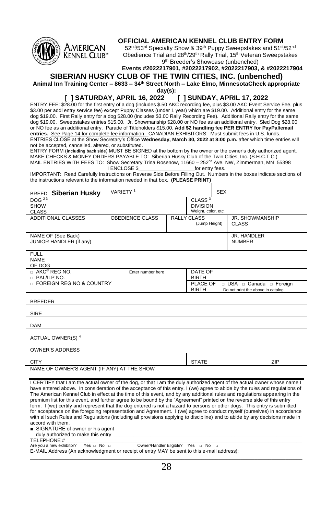| OFFICIAL AMERICAN KENNEL CLUB ENTRY FORM<br>AMERICAN<br>52 <sup>nd</sup> /53 <sup>rd</sup> Specialty Show & 39 <sup>th</sup> Puppy Sweepstakes and 51 <sup>st</sup> /52 <sup>nd</sup><br>Obedience Trial and 28 <sup>th</sup> /29 <sup>th</sup> Rally Trial, 15 <sup>th</sup> Veteran Sweepstakes<br>Kennel Club"<br>9 <sup>th</sup> Breeder's Showcase (unbenched)<br>Events #2022217901, #2022217902, #2022217903, & #2022217904<br>SIBERIAN HUSKY CLUB OF THE TWIN CITIES, INC. (unbenched)<br>Animal Inn Training Center - 8633 - 34 <sup>th</sup> Street North - Lake Elmo, MinnesotaCheck appropriate<br>day(s):<br>[ ] SATURDAY, APRIL 16, 2022<br>[ ] SUNDAY, APRIL 17, 2022<br>ENTRY FEE: \$28.00 for the first entry of a dog (includes \$.50 AKC recording fee, plus \$3.00 AKC Event Service Fee, plus<br>\$3.00 per addl entry service fee) except Puppy Classes (under 1 year) which are \$19.00. Additional entry for the same<br>dog \$19.00. First Rally entry for a dog \$28.00 (includes \$3.00 Rally Recording Fee). Additional Rally entry for the same<br>dog \$19.00. Sweepstakes entries \$15.00. Jr. Showmanship \$28.00 or NO fee as an additional entry. Sled Dog \$28.00<br>or NO fee as an additional entry. Parade of Titleholders \$15.00. Add \$2 handling fee PER ENTRY for PayPal/email<br>entries. See Page 14 for complete fee information. CANADIAN EXHIBITORS: Must submit fees in U.S. funds.<br>ENTRIES CLOSE at the Show Secretary's Office Wednesday, March 30, 2022 at 8:00 p.m. after which time entries will<br>not be accepted, cancelled, altered, or substituted.<br>ENTRY FORM (including back side) MUST BE SIGNED at the bottom by the owner or the owner's duly authorized agent.<br>MAKE CHECKS & MONEY ORDERS PAYABLE TO: Siberian Husky Club of the Twin Cities, Inc. (S.H.C.T.C.)<br>MAIL ENTRIES WITH FEES TO: Show Secretary Trina Rosenow, 11660 – 252 <sup>nd</sup> Ave. NW, Zimmerman, MN 55398<br>I ENCLOSE \$<br>for entry fees.<br>IMPORTANT: Read Carefully Instructions on Reverse Side Before Filling Out. Numbers in the boxes indicate sections of<br>the instructions relevant to the information needed in that box. (PLEASE PRINT) |                        |    |                                                                                                  |                                     |     |  |
|------------------------------------------------------------------------------------------------------------------------------------------------------------------------------------------------------------------------------------------------------------------------------------------------------------------------------------------------------------------------------------------------------------------------------------------------------------------------------------------------------------------------------------------------------------------------------------------------------------------------------------------------------------------------------------------------------------------------------------------------------------------------------------------------------------------------------------------------------------------------------------------------------------------------------------------------------------------------------------------------------------------------------------------------------------------------------------------------------------------------------------------------------------------------------------------------------------------------------------------------------------------------------------------------------------------------------------------------------------------------------------------------------------------------------------------------------------------------------------------------------------------------------------------------------------------------------------------------------------------------------------------------------------------------------------------------------------------------------------------------------------------------------------------------------------------------------------------------------------------------------------------------------------------------------------------------------------------------------------------------------------------------------------------------------------------------------------------------------------------------------------------------------------------------------------------------------------|------------------------|----|--------------------------------------------------------------------------------------------------|-------------------------------------|-----|--|
| <b>Siberian Husky</b><br>BREED                                                                                                                                                                                                                                                                                                                                                                                                                                                                                                                                                                                                                                                                                                                                                                                                                                                                                                                                                                                                                                                                                                                                                                                                                                                                                                                                                                                                                                                                                                                                                                                                                                                                                                                                                                                                                                                                                                                                                                                                                                                                                                                                                                             | VARIETY <sup>1</sup>   |    | <b>SEX</b>                                                                                       |                                     |     |  |
| DOG <sup>23</sup><br><b>SHOW</b><br><b>CLASS</b>                                                                                                                                                                                                                                                                                                                                                                                                                                                                                                                                                                                                                                                                                                                                                                                                                                                                                                                                                                                                                                                                                                                                                                                                                                                                                                                                                                                                                                                                                                                                                                                                                                                                                                                                                                                                                                                                                                                                                                                                                                                                                                                                                           |                        |    | CLASS <sup>3</sup><br><b>DIVISION</b><br>Weight, color, etc.                                     |                                     |     |  |
| <b>ADDITIONAL CLASSES</b>                                                                                                                                                                                                                                                                                                                                                                                                                                                                                                                                                                                                                                                                                                                                                                                                                                                                                                                                                                                                                                                                                                                                                                                                                                                                                                                                                                                                                                                                                                                                                                                                                                                                                                                                                                                                                                                                                                                                                                                                                                                                                                                                                                                  | <b>OBEDIENCE CLASS</b> |    | <b>RALLY CLASS</b><br>(Jump Height)                                                              | JR. SHOWMANSHIP<br><b>CLASS</b>     |     |  |
| NAME OF (See Back)<br>JUNIOR HANDLER (if any)                                                                                                                                                                                                                                                                                                                                                                                                                                                                                                                                                                                                                                                                                                                                                                                                                                                                                                                                                                                                                                                                                                                                                                                                                                                                                                                                                                                                                                                                                                                                                                                                                                                                                                                                                                                                                                                                                                                                                                                                                                                                                                                                                              |                        |    |                                                                                                  | <b>JR. HANDLER</b><br><b>NUMBER</b> |     |  |
| <b>FULL</b><br><b>NAME</b><br>OF DOG                                                                                                                                                                                                                                                                                                                                                                                                                                                                                                                                                                                                                                                                                                                                                                                                                                                                                                                                                                                                                                                                                                                                                                                                                                                                                                                                                                                                                                                                                                                                                                                                                                                                                                                                                                                                                                                                                                                                                                                                                                                                                                                                                                       |                        |    |                                                                                                  |                                     |     |  |
| $\Box$ akc® reg no.<br><b>PAL/ILP NO.</b>                                                                                                                                                                                                                                                                                                                                                                                                                                                                                                                                                                                                                                                                                                                                                                                                                                                                                                                                                                                                                                                                                                                                                                                                                                                                                                                                                                                                                                                                                                                                                                                                                                                                                                                                                                                                                                                                                                                                                                                                                                                                                                                                                                  | Enter number here      |    | DATE OF<br><b>BIRTH</b>                                                                          |                                     |     |  |
| <b>E FOREIGN REG NO &amp; COUNTRY</b>                                                                                                                                                                                                                                                                                                                                                                                                                                                                                                                                                                                                                                                                                                                                                                                                                                                                                                                                                                                                                                                                                                                                                                                                                                                                                                                                                                                                                                                                                                                                                                                                                                                                                                                                                                                                                                                                                                                                                                                                                                                                                                                                                                      |                        |    | <b>PLACE OF</b><br>D USA D Canada D Foreign<br><b>BIRTH</b><br>Do not print the above in catalog |                                     |     |  |
| <b>BREEDER</b>                                                                                                                                                                                                                                                                                                                                                                                                                                                                                                                                                                                                                                                                                                                                                                                                                                                                                                                                                                                                                                                                                                                                                                                                                                                                                                                                                                                                                                                                                                                                                                                                                                                                                                                                                                                                                                                                                                                                                                                                                                                                                                                                                                                             |                        |    |                                                                                                  |                                     |     |  |
| <b>SIRE</b>                                                                                                                                                                                                                                                                                                                                                                                                                                                                                                                                                                                                                                                                                                                                                                                                                                                                                                                                                                                                                                                                                                                                                                                                                                                                                                                                                                                                                                                                                                                                                                                                                                                                                                                                                                                                                                                                                                                                                                                                                                                                                                                                                                                                |                        |    |                                                                                                  |                                     |     |  |
| DAM                                                                                                                                                                                                                                                                                                                                                                                                                                                                                                                                                                                                                                                                                                                                                                                                                                                                                                                                                                                                                                                                                                                                                                                                                                                                                                                                                                                                                                                                                                                                                                                                                                                                                                                                                                                                                                                                                                                                                                                                                                                                                                                                                                                                        |                        |    |                                                                                                  |                                     |     |  |
| ACTUAL OWNER(S) <sup>4</sup>                                                                                                                                                                                                                                                                                                                                                                                                                                                                                                                                                                                                                                                                                                                                                                                                                                                                                                                                                                                                                                                                                                                                                                                                                                                                                                                                                                                                                                                                                                                                                                                                                                                                                                                                                                                                                                                                                                                                                                                                                                                                                                                                                                               |                        |    |                                                                                                  |                                     |     |  |
| <b>OWNER'S ADDRESS</b>                                                                                                                                                                                                                                                                                                                                                                                                                                                                                                                                                                                                                                                                                                                                                                                                                                                                                                                                                                                                                                                                                                                                                                                                                                                                                                                                                                                                                                                                                                                                                                                                                                                                                                                                                                                                                                                                                                                                                                                                                                                                                                                                                                                     |                        |    |                                                                                                  |                                     |     |  |
| <b>CITY</b>                                                                                                                                                                                                                                                                                                                                                                                                                                                                                                                                                                                                                                                                                                                                                                                                                                                                                                                                                                                                                                                                                                                                                                                                                                                                                                                                                                                                                                                                                                                                                                                                                                                                                                                                                                                                                                                                                                                                                                                                                                                                                                                                                                                                |                        |    | <b>STATE</b>                                                                                     |                                     | ZIP |  |
| NAME OF OWNER'S AGENT (IF ANY) AT THE SHOW                                                                                                                                                                                                                                                                                                                                                                                                                                                                                                                                                                                                                                                                                                                                                                                                                                                                                                                                                                                                                                                                                                                                                                                                                                                                                                                                                                                                                                                                                                                                                                                                                                                                                                                                                                                                                                                                                                                                                                                                                                                                                                                                                                 |                        |    |                                                                                                  |                                     |     |  |
| I CERTIFY that I am the actual owner of the dog, or that I am the duly authorized agent of the actual owner whose name I<br>have entered above. In consideration of the acceptance of this entry, I (we) agree to abide by the rules and regulations of<br>The American Kennel Club in effect at the time of this event, and by any additional rules and regulations appearing in the<br>premium list for this event, and further agree to be bound by the "Agreement" printed on the reverse side of this entry<br>form. I (we) certify and represent that the dog entered is not a hazard to persons or other dogs. This entry is submitted<br>for acceptance on the foregoing representation and Agreement. I (we) agree to conduct myself (ourselves) in accordance<br>with all such Rules and Regulations (including all provisions applying to discipline) and to abide by any decisions made in<br>accord with them.<br>SIGNATURE of owner or his agent<br>duly authorized to make this entry<br>TELEPHONE #<br>Are you a new exhibitor?<br>Yes a No a<br>Owner/Handler Eligible? Yes a No a<br>E-MAIL Address (An acknowledgment or receipt of entry MAY be sent to this e-mail address):                                                                                                                                                                                                                                                                                                                                                                                                                                                                                                                                                                                                                                                                                                                                                                                                                                                                                                                                                                                                          |                        |    |                                                                                                  |                                     |     |  |
|                                                                                                                                                                                                                                                                                                                                                                                                                                                                                                                                                                                                                                                                                                                                                                                                                                                                                                                                                                                                                                                                                                                                                                                                                                                                                                                                                                                                                                                                                                                                                                                                                                                                                                                                                                                                                                                                                                                                                                                                                                                                                                                                                                                                            |                        | ີດ |                                                                                                  |                                     |     |  |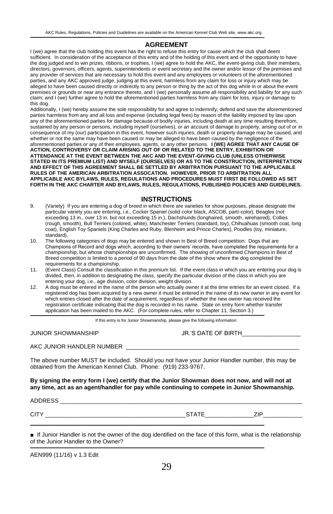### **AGREEMENT**

I (we) agree that the club holding this event has the right to refuse this entry for cause which the club shall deem sufficient. In consideration of the acceptance of this entry and of the holding of this event and of the opportunity to have the dog judged and to win prizes, ribbons, or trophies, I (we) agree to hold the AKC, the event-giving club, their members, directors, governors, officers, agents, superintendents or event secretary and the owner and/or lessor of the premises and any provider of services that are necessary to hold this event and any employees or volunteers of the aforementioned parties, and any AKC approved judge, judging at this event, harmless from any claim for loss or injury which may be alleged to have been caused directly or indirectly to any person or thing by the act of this dog while in or about the event premises or grounds or near any entrance thereto, and I (we) personally assume all responsibility and liability for any such claim; and I (we) further agree to hold the aforementioned parties harmless from any claim for loss, injury or damage to this dog.

Additionally, I (we) hereby assume the sole responsibility for and agree to indemnify, defend and save the aforementioned parties harmless from any and all loss and expense (including legal fees) by reason of the liability imposed by law upon any of the aforementioned parties for damage because of bodily injuries, including death at any time resulting therefrom, sustained by any person or persons, including myself (ourselves), or an account of damage to property, arising out of or in consequence of my (our) participation in this event, however such injuries, death or property damage may be caused, and whether or not the same may have been caused or may be alleged to have been caused by the negligence of the aforementioned parties or any of their employees, agents, or any other persons. **I (WE) AGREE THAT ANY CAUSE OF ACTION, CONTROVERSY OR CLAIM ARISING OUT OF OR RELATED TO THE ENTRY, EXHIBITION OR ATTENDANCE AT THE EVENT BETWEEN THE AKC AND THE EVENT-GIVING CLUB (UNLESS OTHERWISE STATED IN ITS PREMIUM LIST) AND MYSELF (OURSELVES) OR AS TO THE CONSTRUCTION, INTERPRETATION AND EFFECT OF THIS AGREEMENT SHALL BE SETTLED BY ARBITRATION PURSUANT TO THE APPLICABLE RULES OF THE AMERICAN ARBITRATION ASSOCATION. HOWEVER, PRIOR TO ARBITRATION ALL APPLICABLE AKC BYLAWS, RULES, REGULATIONS AND PROCEDURES MUST FIRST BE FOLLOWED AS SET FORTH IN THE AKC CHARTER AND BYLAWS, RULES, REGULATIONS, PUBLISHED POLICIES AND GUIDELINES.**

### **INSTRUCTIONS**

- 9. (Variety) If you are entering a dog of breed in which there are varieties for show purposes, please designate the particular variety you are entering, i.e., Cocker Spaniel (solid color black, ASCOB, parti-color), Beagles (not exceeding 13 in., over 13 in. but not exceeding 15 in.), Dachshunds (longhaired, smooth, wirehaired), Collies (rough, smooth), Bull Terriers (colored, white), Manchester Terriers (standard, toy), Chihuahuas (smooth coat, long coat), English Toy Spaniels (King Charles and Ruby, Blenheim and Prince Charles), Poodles (toy, miniature, standard).
- 10. The following categories of dogs may be entered and shown in Best of Breed competition: Dogs that are Champions of Record and dogs which, according to their owners' records, have completed the requirements for a championship, but whose championships are unconfirmed. The showing of unconfirmed Champions in Best of Breed competition is limited to a period of 90 days from the date of the show where the dog completed the requirements for a championship.
- 11. (Event Class) Consult the classification in this premium list. If the event class in which you are entering your dog is divided, then, in addition to designating the class, specify the particular division of the class in which you are entering your dog, i.e., age division, color division, weight division.
- 12. A dog must be entered in the name of the person who actually owner it at the time entries for an event closed. If a registered dog has been acquired by a new owner it must be entered in the name of its new owner in any event for which entries closed after the date of acquirement, regardless of whether the new owner has received the registration certificate indicating that the dog is recorded in his name. State on entry form whether transfer application has been mailed to the AKC. (For complete rules, refer to Chapter 11, Section 3.)

If this entry is for Junior Showmanship, please give the following information:

JUNIOR SHOWMANSHIP JR.'S DATE OF BIRTH

### AKC JUNIOR HANDLER NUMBER

The above number MUST be included. Should you not have your Junior Handler number, this may be obtained from the American Kennel Club. Phone: (919) 233-9767.

**By signing the entry form I (we) certify that the Junior Showman does not now, and will not at any time, act as an agent/handler for pay while continuing to compete in Junior Showmanship.**

ADDRESS \_\_\_\_\_\_\_\_\_\_\_\_\_\_\_\_\_\_\_\_\_\_\_\_\_\_\_\_\_\_\_\_\_\_\_\_\_\_\_\_\_\_\_\_\_\_\_\_\_\_\_\_\_\_\_\_\_\_\_\_\_\_\_\_\_\_\_\_\_\_\_\_\_\_

CITY THE CITY CONSTRUCT AND STATE THE STATE STATE STATE SERVICE AND STATE STATE STATE STATE STATE STATE STATE STATE STATE STATE STATE STATE STATE STATE STATE STATE STATE STATE STATE STATE STATE STATE STATE STATE STATE STAT

■ If Junior Handler is not the owner of the dog identified on the face of this form, what is the relationship of the Junior Handler to the Owner?

AEN999 (11/16) v 1.3 Edit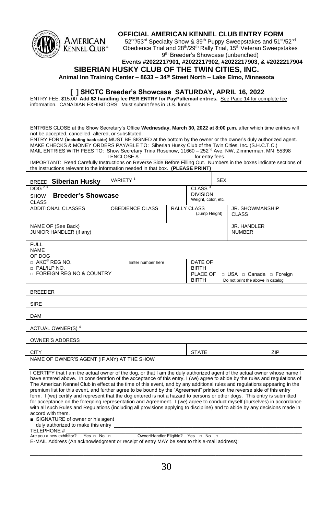

### **OFFICIAL AMERICAN KENNEL CLUB ENTRY FORM**

52<sup>nd</sup>/53<sup>rd</sup> Specialty Show & 39<sup>th</sup> Puppy Sweepstakes and 51<sup>st</sup>/52<sup>nd</sup> Obedience Trial and 28<sup>th</sup>/29<sup>th</sup> Rally Trial, 15<sup>th</sup> Veteran Sweepstakes 9<sup>th</sup> Breeder's Showcase (unbenched)

**Events #2022217901, #2022217902, #2022217903, & #2022217904**

**SIBERIAN HUSKY CLUB OF THE TWIN CITIES, INC.**

**Animal Inn Training Center – 8633 – 34th Street North – Lake Elmo, Minnesota**

### **[ ] SHCTC Breeder's Showcase SATURDAY, APRIL 16, 2022**

ENTRY FEE: \$15.00 **Add \$2 handling fee PER ENTRY for PayPal/email entries.** See Page 14 for complete fee information. CANADIAN EXHIBITORS: Must submit fees in U.S. funds.

ENTRIES CLOSE at the Show Secretary's Office **Wednesday, March 30, 2022 at 8:00 p.m.** after which time entries will not be accepted, cancelled, altered, or substituted.

ENTRY FORM (**including back side**) MUST BE SIGNED at the bottom by the owner or the owner's duly authorized agent. MAKE CHECKS & MONEY ORDERS PAYABLE TO: Siberian Husky Club of the Twin Cities, Inc. (S.H.C.T.C.)

MAIL ENTRIES WITH FEES TO: Show Secretary Trina Rosenow, 11660 – 252nd Ave. NW, Zimmerman, MN 55398 for entry fees.

IMPORTANT: Read Carefully Instructions on Reverse Side Before Filling Out. Numbers in the boxes indicate sections of the instructions relevant to the information needed in that box. **(PLEASE PRINT)**

| <b>Siberian Husky</b><br><b>BREED</b>                                                                                                                                                                                                                                                                                                                                                                                                                                                                                                                                                                                                                                                                                                                                                                                                                                                                                                                                                                               | VARIETY <sup>1</sup>   |  |                                                                                                           | <b>SEX</b> |                                 |     |
|---------------------------------------------------------------------------------------------------------------------------------------------------------------------------------------------------------------------------------------------------------------------------------------------------------------------------------------------------------------------------------------------------------------------------------------------------------------------------------------------------------------------------------------------------------------------------------------------------------------------------------------------------------------------------------------------------------------------------------------------------------------------------------------------------------------------------------------------------------------------------------------------------------------------------------------------------------------------------------------------------------------------|------------------------|--|-----------------------------------------------------------------------------------------------------------|------------|---------------------------------|-----|
| DOG <sup>23</sup><br><b>Breeder's Showcase</b><br><b>SHOW</b><br><b>CLASS</b>                                                                                                                                                                                                                                                                                                                                                                                                                                                                                                                                                                                                                                                                                                                                                                                                                                                                                                                                       |                        |  | CLASS <sup>3</sup><br><b>DIVISION</b><br>Weight, color, etc.                                              |            |                                 |     |
| <b>ADDITIONAL CLASSES</b>                                                                                                                                                                                                                                                                                                                                                                                                                                                                                                                                                                                                                                                                                                                                                                                                                                                                                                                                                                                           | <b>OBEDIENCE CLASS</b> |  | <b>RALLY CLASS</b><br>(Jump Height)                                                                       |            | JR. SHOWMANSHIP<br><b>CLASS</b> |     |
| NAME OF (See Back)<br>JUNIOR HANDLER (if any)                                                                                                                                                                                                                                                                                                                                                                                                                                                                                                                                                                                                                                                                                                                                                                                                                                                                                                                                                                       |                        |  |                                                                                                           |            | JR. HANDLER<br><b>NUMBER</b>    |     |
| <b>FULL</b><br><b>NAME</b><br>OF DOG                                                                                                                                                                                                                                                                                                                                                                                                                                                                                                                                                                                                                                                                                                                                                                                                                                                                                                                                                                                |                        |  |                                                                                                           |            |                                 |     |
| $\Box$ AKC® REG NO.<br>n PAL/ILP NO.                                                                                                                                                                                                                                                                                                                                                                                                                                                                                                                                                                                                                                                                                                                                                                                                                                                                                                                                                                                | Enter number here      |  | DATE OF                                                                                                   |            |                                 |     |
| <b>E FOREIGN REG NO &amp; COUNTRY</b>                                                                                                                                                                                                                                                                                                                                                                                                                                                                                                                                                                                                                                                                                                                                                                                                                                                                                                                                                                               |                        |  | <b>BIRTH</b><br>PLACE OF<br>□ USA □ Canada □ Foreign<br><b>BIRTH</b><br>Do not print the above in catalog |            |                                 |     |
| <b>BREEDER</b>                                                                                                                                                                                                                                                                                                                                                                                                                                                                                                                                                                                                                                                                                                                                                                                                                                                                                                                                                                                                      |                        |  |                                                                                                           |            |                                 |     |
| <b>SIRE</b>                                                                                                                                                                                                                                                                                                                                                                                                                                                                                                                                                                                                                                                                                                                                                                                                                                                                                                                                                                                                         |                        |  |                                                                                                           |            |                                 |     |
| <b>DAM</b>                                                                                                                                                                                                                                                                                                                                                                                                                                                                                                                                                                                                                                                                                                                                                                                                                                                                                                                                                                                                          |                        |  |                                                                                                           |            |                                 |     |
| ACTUAL OWNER(S) <sup>4</sup>                                                                                                                                                                                                                                                                                                                                                                                                                                                                                                                                                                                                                                                                                                                                                                                                                                                                                                                                                                                        |                        |  |                                                                                                           |            |                                 |     |
| <b>OWNER'S ADDRESS</b>                                                                                                                                                                                                                                                                                                                                                                                                                                                                                                                                                                                                                                                                                                                                                                                                                                                                                                                                                                                              |                        |  |                                                                                                           |            |                                 |     |
| <b>CITY</b>                                                                                                                                                                                                                                                                                                                                                                                                                                                                                                                                                                                                                                                                                                                                                                                                                                                                                                                                                                                                         |                        |  | <b>STATE</b>                                                                                              |            |                                 | ZIP |
| NAME OF OWNER'S AGENT (IF ANY) AT THE SHOW                                                                                                                                                                                                                                                                                                                                                                                                                                                                                                                                                                                                                                                                                                                                                                                                                                                                                                                                                                          |                        |  |                                                                                                           |            |                                 |     |
| I CERTIFY that I am the actual owner of the dog, or that I am the duly authorized agent of the actual owner whose name I<br>have entered above. In consideration of the acceptance of this entry. I (we) agree to abide by the rules and regulations of<br>The American Kennel Club in effect at the time of this event, and by any additional rules and regulations appearing in the<br>premium list for this event, and further agree to be bound by the "Agreement" printed on the reverse side of this entry<br>form. I (we) certify and represent that the dog entered is not a hazard to persons or other dogs. This entry is submitted<br>for acceptance on the foregoing representation and Agreement. I (we) agree to conduct myself (ourselves) in accordance<br>with all such Rules and Regulations (including all provisions applying to discipline) and to abide by any decisions made in<br>accord with them.<br>SIGNATURE of owner or his agent<br>duly authorized to make this entry<br>TELEDUONE # |                        |  |                                                                                                           |            |                                 |     |

TELEPHONE # \_\_\_\_\_\_\_\_\_\_\_\_\_\_\_\_\_\_\_\_\_\_\_\_\_\_\_\_\_\_\_\_\_\_\_\_\_\_\_\_\_\_\_\_\_\_\_\_\_\_\_\_\_\_\_\_\_\_\_\_\_\_\_\_\_\_\_\_\_\_\_\_\_\_\_\_\_\_\_\_\_\_\_\_ Are you a new exhibitor? Yes □ No □

E-MAIL Address (An acknowledgment or receipt of entry MAY be sent to this e-mail address):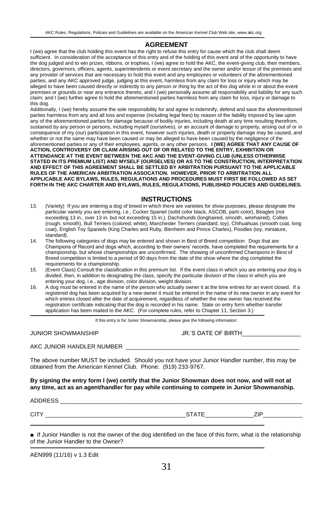### **AGREEMENT**

I (we) agree that the club holding this event has the right to refuse this entry for cause which the club shall deem sufficient. In consideration of the acceptance of this entry and of the holding of this event and of the opportunity to have the dog judged and to win prizes, ribbons, or trophies, I (we) agree to hold the AKC, the event-giving club, their members, directors, governors, officers, agents, superintendents or event secretary and the owner and/or lessor of the premises and any provider of services that are necessary to hold this event and any employees or volunteers of the aforementioned parties, and any AKC approved judge, judging at this event, harmless from any claim for loss or injury which may be alleged to have been caused directly or indirectly to any person or thing by the act of this dog while in or about the event premises or grounds or near any entrance thereto, and I (we) personally assume all responsibility and liability for any such claim; and I (we) further agree to hold the aforementioned parties harmless from any claim for loss, injury or damage to this dog.

Additionally, I (we) hereby assume the sole responsibility for and agree to indemnify, defend and save the aforementioned parties harmless from any and all loss and expense (including legal fees) by reason of the liability imposed by law upon any of the aforementioned parties for damage because of bodily injuries, including death at any time resulting therefrom, sustained by any person or persons, including myself (ourselves), or an account of damage to property, arising out of or in consequence of my (our) participation in this event, however such injuries, death or property damage may be caused, and whether or not the same may have been caused or may be alleged to have been caused by the negligence of the aforementioned parties or any of their employees, agents, or any other persons. **I (WE) AGREE THAT ANY CAUSE OF ACTION, CONTROVERSY OR CLAIM ARISING OUT OF OR RELATED TO THE ENTRY, EXHIBITION OR ATTENDANCE AT THE EVENT BETWEEN THE AKC AND THE EVENT-GIVING CLUB (UNLESS OTHERWISE STATED IN ITS PREMIUM LIST) AND MYSELF (OURSELVES) OR AS TO THE CONSTRUCTION, INTERPRETATION AND EFFECT OF THIS AGREEMENT SHALL BE SETTLED BY ARBITRATION PURSUANT TO THE APPLICABLE RULES OF THE AMERICAN ARBITRATION ASSOCATION. HOWEVER, PRIOR TO ARBITRATION ALL APPLICABLE AKC BYLAWS, RULES, REGULATIONS AND PROCEDURES MUST FIRST BE FOLLOWED AS SET FORTH IN THE AKC CHARTER AND BYLAWS, RULES, REGULATIONS, PUBLISHED POLICIES AND GUIDELINES.**

### **INSTRUCTIONS**

- 13. (Variety) If you are entering a dog of breed in which there are varieties for show purposes, please designate the particular variety you are entering, i.e., Cocker Spaniel (solid color black, ASCOB, parti-color), Beagles (not exceeding 13 in., over 13 in. but not exceeding 15 in.), Dachshunds (longhaired, smooth, wirehaired), Collies (rough, smooth), Bull Terriers (colored, white), Manchester Terriers (standard, toy), Chihuahuas (smooth coat, long coat), English Toy Spaniels (King Charles and Ruby, Blenheim and Prince Charles), Poodles (toy, miniature, standard).
- 14. The following categories of dogs may be entered and shown in Best of Breed competition: Dogs that are Champions of Record and dogs which, according to their owners' records, have completed the requirements for a championship, but whose championships are unconfirmed. The showing of unconfirmed Champions in Best of Breed competition is limited to a period of 90 days from the date of the show where the dog completed the requirements for a championship.
- 15. (Event Class) Consult the classification in this premium list. If the event class in which you are entering your dog is divided, then, in addition to designating the class, specify the particular division of the class in which you are entering your dog, i.e., age division, color division, weight division.
- 16. A dog must be entered in the name of the person who actually owner it at the time entries for an event closed. If a registered dog has been acquired by a new owner it must be entered in the name of its new owner in any event for which entries closed after the date of acquirement, regardless of whether the new owner has received the registration certificate indicating that the dog is recorded in his name. State on entry form whether transfer application has been mailed to the AKC. (For complete rules, refer to Chapter 11, Section 3.)

If this entry is for Junior Showmanship, please give the following information:

JUNIOR SHOWMANSHIP JUNIOR SHOWMANSHIP

### AKC JUNIOR HANDLER NUMBER

The above number MUST be included. Should you not have your Junior Handler number, this may be obtained from the American Kennel Club. Phone: (919) 233-9767.

**By signing the entry form I (we) certify that the Junior Showman does not now, and will not at any time, act as an agent/handler for pay while continuing to compete in Junior Showmanship.**

ADDRESS \_\_\_\_\_\_\_\_\_\_\_\_\_\_\_\_\_\_\_\_\_\_\_\_\_\_\_\_\_\_\_\_\_\_\_\_\_\_\_\_\_\_\_\_\_\_\_\_\_\_\_\_\_\_\_\_\_\_\_\_\_\_\_\_\_\_\_\_\_\_\_\_\_\_

CITY STATE ZIP

■ If Junior Handler is not the owner of the dog identified on the face of this form, what is the relationship of the Junior Handler to the Owner?

AEN999 (11/16) v 1.3 Edit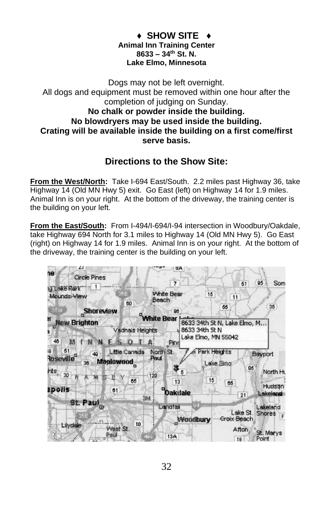# ♦ **SHOW SITE ♦ Animal Inn Training Center 8633 – 34th St. N. Lake Elmo, Minnesota**

Dogs may not be left overnight. All dogs and equipment must be removed within one hour after the completion of judging on Sunday. **No chalk or powder inside the building. No blowdryers may be used inside the building. Crating will be available inside the building on a first come/first serve basis.**

# **Directions to the Show Site:**

**From the West/North:** Take I-694 East/South. 2.2 miles past Highway 36, take Highway 14 (Old MN Hwy 5) exit. Go East (left) on Highway 14 for 1.9 miles. Animal Inn is on your right. At the bottom of the driveway, the training center is the building on your left.

**From the East/South:** From I-494/I-694/I-94 intersection in Woodbury/Oakdale, take Highway 694 North for 3.1 miles to Highway 14 (Old MN Hwy 5). Go East (right) on Highway 14 for 1.9 miles. Animal Inn is on your right. At the bottom of the driveway, the training center is the building on your left.

|                                                                                          | 25                                                   |                                               | <br>8A                                           |                                                                                                      |                                                                  |                       |
|------------------------------------------------------------------------------------------|------------------------------------------------------|-----------------------------------------------|--------------------------------------------------|------------------------------------------------------------------------------------------------------|------------------------------------------------------------------|-----------------------|
| ne                                                                                       | <b>Circle Pines</b>                                  |                                               |                                                  |                                                                                                      |                                                                  |                       |
| ig Lake Park                                                                             |                                                      |                                               | 7                                                |                                                                                                      | 95<br>51                                                         | Som                   |
| Mounds: View                                                                             |                                                      | 60                                            | White Bear<br>Beach                              | 15                                                                                                   | 11                                                               |                       |
| 36 <b>UV</b>                                                                             | Shoreview                                            |                                               | 96                                               | 55                                                                                                   |                                                                  | 35                    |
| Ħ<br>9.<br>46<br>M<br>51<br>8<br>Roseville <sup>s</sup><br>$\frac{1}{10}$ $\frac{1}{30}$ | <b>New Brighton</b><br>N<br>N<br>49<br>booweak<br>36 | Vadnais Heights<br>А<br>Little Canada<br>Paul | <b>White Bear</b><br>Pine<br>North St.<br>Ş<br>5 | 8633 34th St N, Lake Elmo, M<br>1 8633 34th St N<br>Lake Elmo, MN 55042<br>Park Heights<br>Lake Eino | <b>Bayport</b><br>95                                             | North Ht              |
| apolis                                                                                   | м<br>61<br>St. Paul <sub>o</sub>                     | 120<br>65<br>3M                               | 13<br><b>Oakdale</b>                             | 15<br>65                                                                                             | 21                                                               | Hudson<br>Lakeland    |
| Lilydale                                                                                 | 355<br>15<br>West St.<br>Paul<br>$\sim$              | 10                                            | Landfall<br>Woodbury<br>13A                      |                                                                                                      | Lake St.<br><b>Shores</b><br>Croix Beach<br>Afton<br>Point<br>18 | Lakeland<br>St. Marys |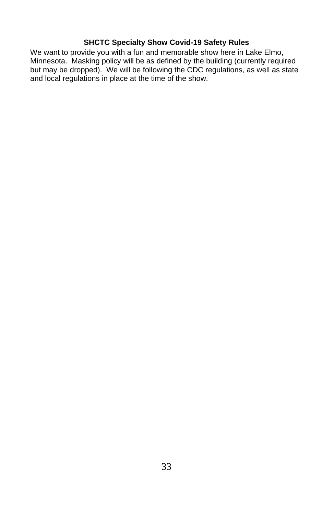# **SHCTC Specialty Show Covid-19 Safety Rules**

We want to provide you with a fun and memorable show here in Lake Elmo, Minnesota. Masking policy will be as defined by the building (currently required but may be dropped). We will be following the CDC regulations, as well as state and local regulations in place at the time of the show.